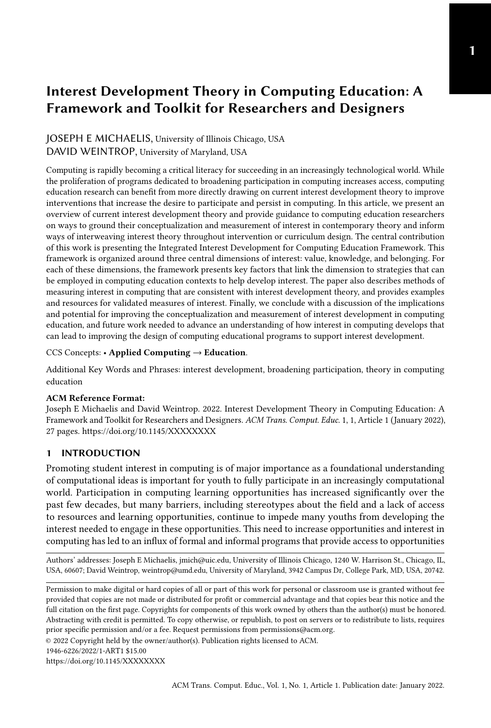## JOSEPH E MICHAELIS, University of Illinois Chicago, USA DAVID WEINTROP, University of Maryland, USA

Computing is rapidly becoming a critical literacy for succeeding in an increasingly technological world. While the proliferation of programs dedicated to broadening participation in computing increases access, computing education research can benefit from more directly drawing on current interest development theory to improve interventions that increase the desire to participate and persist in computing. In this article, we present an overview of current interest development theory and provide guidance to computing education researchers on ways to ground their conceptualization and measurement of interest in contemporary theory and inform ways of interweaving interest theory throughout intervention or curriculum design. The central contribution of this work is presenting the Integrated Interest Development for Computing Education Framework. This framework is organized around three central dimensions of interest: value, knowledge, and belonging. For each of these dimensions, the framework presents key factors that link the dimension to strategies that can be employed in computing education contexts to help develop interest. The paper also describes methods of measuring interest in computing that are consistent with interest development theory, and provides examples and resources for validated measures of interest. Finally, we conclude with a discussion of the implications and potential for improving the conceptualization and measurement of interest development in computing education, and future work needed to advance an understanding of how interest in computing develops that can lead to improving the design of computing educational programs to support interest development.

CCS Concepts: • Applied Computing → Education.

Additional Key Words and Phrases: interest development, broadening participation, theory in computing education

#### ACM Reference Format:

Joseph E Michaelis and David Weintrop. 2022. Interest Development Theory in Computing Education: A Framework and Toolkit for Researchers and Designers. ACM Trans. Comput. Educ. 1, 1, Article 1 (January 2022), [27](#page-26-0) pages.<https://doi.org/10.1145/XXXXXXXX>

## 1 INTRODUCTION

Promoting student interest in computing is of major importance as a foundational understanding of computational ideas is important for youth to fully participate in an increasingly computational world. Participation in computing learning opportunities has increased significantly over the past few decades, but many barriers, including stereotypes about the field and a lack of access to resources and learning opportunities, continue to impede many youths from developing the interest needed to engage in these opportunities. This need to increase opportunities and interest in computing has led to an influx of formal and informal programs that provide access to opportunities

Authors' addresses: Joseph E Michaelis, jmich@uic.edu, University of Illinois Chicago, 1240 W. Harrison St., Chicago, IL, USA, 60607; David Weintrop, weintrop@umd.edu, University of Maryland, 3942 Campus Dr, College Park, MD, USA, 20742.

© 2022 Copyright held by the owner/author(s). Publication rights licensed to ACM.

<https://doi.org/10.1145/XXXXXXXX>

Permission to make digital or hard copies of all or part of this work for personal or classroom use is granted without fee provided that copies are not made or distributed for profit or commercial advantage and that copies bear this notice and the full citation on the first page. Copyrights for components of this work owned by others than the author(s) must be honored. Abstracting with credit is permitted. To copy otherwise, or republish, to post on servers or to redistribute to lists, requires prior specific permission and/or a fee. Request permissions from permissions@acm.org.

<sup>1946-6226/2022/1-</sup>ART1 \$15.00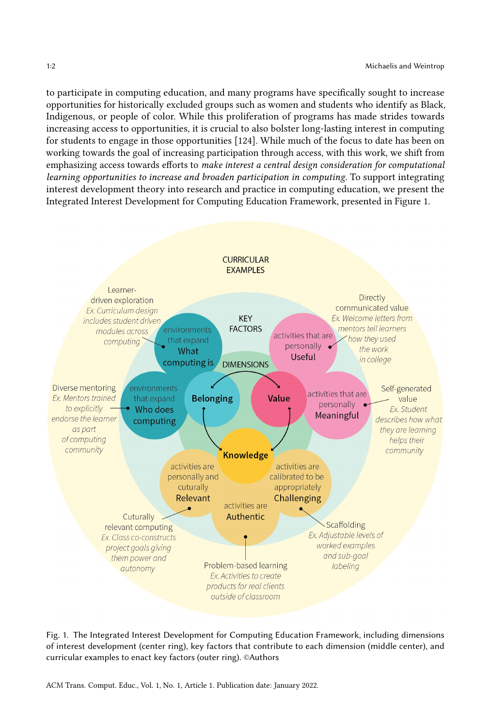to participate in computing education, and many programs have specifically sought to increase opportunities for historically excluded groups such as women and students who identify as Black, Indigenous, or people of color. While this proliferation of programs has made strides towards increasing access to opportunities, it is crucial to also bolster long-lasting interest in computing for students to engage in those opportunities [\[124\]](#page-25-0). While much of the focus to date has been on working towards the goal of increasing participation through access, with this work, we shift from emphasizing access towards efforts to make interest a central design consideration for computational learning opportunities to increase and broaden participation in computing. To support integrating interest development theory into research and practice in computing education, we present the Integrated Interest Development for Computing Education Framework, presented in Figure [1.](#page-1-0)

<span id="page-1-0"></span>

Fig. 1. The Integrated Interest Development for Computing Education Framework, including dimensions of interest development (center ring), key factors that contribute to each dimension (middle center), and curricular examples to enact key factors (outer ring). ©Authors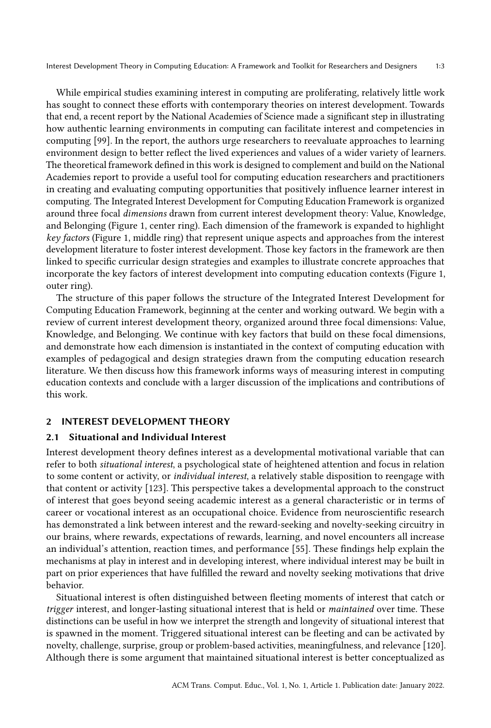While empirical studies examining interest in computing are proliferating, relatively little work has sought to connect these efforts with contemporary theories on interest development. Towards that end, a recent report by the National Academies of Science made a significant step in illustrating how authentic learning environments in computing can facilitate interest and competencies in computing [\[99\]](#page-24-0). In the report, the authors urge researchers to reevaluate approaches to learning environment design to better reflect the lived experiences and values of a wider variety of learners. The theoretical framework defined in this work is designed to complement and build on the National Academies report to provide a useful tool for computing education researchers and practitioners in creating and evaluating computing opportunities that positively influence learner interest in computing. The Integrated Interest Development for Computing Education Framework is organized around three focal dimensions drawn from current interest development theory: Value, Knowledge, and Belonging (Figure 1, center ring). Each dimension of the framework is expanded to highlight key factors (Figure 1, middle ring) that represent unique aspects and approaches from the interest development literature to foster interest development. Those key factors in the framework are then linked to specific curricular design strategies and examples to illustrate concrete approaches that incorporate the key factors of interest development into computing education contexts (Figure 1, outer ring).

The structure of this paper follows the structure of the Integrated Interest Development for Computing Education Framework, beginning at the center and working outward. We begin with a review of current interest development theory, organized around three focal dimensions: Value, Knowledge, and Belonging. We continue with key factors that build on these focal dimensions, and demonstrate how each dimension is instantiated in the context of computing education with examples of pedagogical and design strategies drawn from the computing education research literature. We then discuss how this framework informs ways of measuring interest in computing education contexts and conclude with a larger discussion of the implications and contributions of this work.

## 2 INTEREST DEVELOPMENT THEORY

## 2.1 Situational and Individual Interest

Interest development theory defines interest as a developmental motivational variable that can refer to both situational interest, a psychological state of heightened attention and focus in relation to some content or activity, or individual interest, a relatively stable disposition to reengage with that content or activity [\[123\]](#page-25-1). This perspective takes a developmental approach to the construct of interest that goes beyond seeing academic interest as a general characteristic or in terms of career or vocational interest as an occupational choice. Evidence from neuroscientific research has demonstrated a link between interest and the reward-seeking and novelty-seeking circuitry in our brains, where rewards, expectations of rewards, learning, and novel encounters all increase an individual's attention, reaction times, and performance [\[55\]](#page-22-0). These findings help explain the mechanisms at play in interest and in developing interest, where individual interest may be built in part on prior experiences that have fulfilled the reward and novelty seeking motivations that drive behavior.

Situational interest is often distinguished between fleeting moments of interest that catch or trigger interest, and longer-lasting situational interest that is held or *maintained* over time. These distinctions can be useful in how we interpret the strength and longevity of situational interest that is spawned in the moment. Triggered situational interest can be fleeting and can be activated by novelty, challenge, surprise, group or problem-based activities, meaningfulness, and relevance [\[120\]](#page-25-2). Although there is some argument that maintained situational interest is better conceptualized as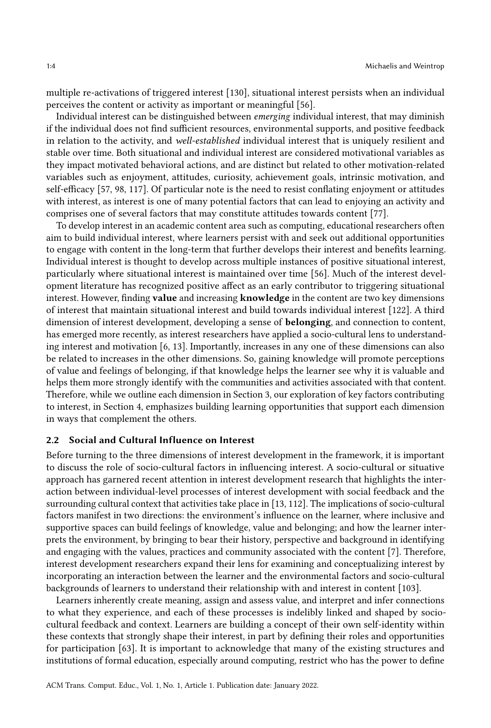multiple re-activations of triggered interest [\[130\]](#page-25-3), situational interest persists when an individual perceives the content or activity as important or meaningful [\[56\]](#page-22-1).

Individual interest can be distinguished between emerging individual interest, that may diminish if the individual does not find sufficient resources, environmental supports, and positive feedback in relation to the activity, and well-established individual interest that is uniquely resilient and stable over time. Both situational and individual interest are considered motivational variables as they impact motivated behavioral actions, and are distinct but related to other motivation-related variables such as enjoyment, attitudes, curiosity, achievement goals, intrinsic motivation, and self-efficacy [\[57,](#page-22-2) [98,](#page-24-1) [117\]](#page-24-2). Of particular note is the need to resist conflating enjoyment or attitudes with interest, as interest is one of many potential factors that can lead to enjoying an activity and comprises one of several factors that may constitute attitudes towards content [\[77\]](#page-23-0).

To develop interest in an academic content area such as computing, educational researchers often aim to build individual interest, where learners persist with and seek out additional opportunities to engage with content in the long-term that further develops their interest and benefits learning. Individual interest is thought to develop across multiple instances of positive situational interest, particularly where situational interest is maintained over time [\[56\]](#page-22-1). Much of the interest development literature has recognized positive affect as an early contributor to triggering situational interest. However, finding **value** and increasing **knowledge** in the content are two key dimensions of interest that maintain situational interest and build towards individual interest [\[122\]](#page-25-4). A third dimension of interest development, developing a sense of belonging, and connection to content, has emerged more recently, as interest researchers have applied a socio-cultural lens to understanding interest and motivation [\[6,](#page-19-0) [13\]](#page-20-0). Importantly, increases in any one of these dimensions can also be related to increases in the other dimensions. So, gaining knowledge will promote perceptions of value and feelings of belonging, if that knowledge helps the learner see why it is valuable and helps them more strongly identify with the communities and activities associated with that content. Therefore, while we outline each dimension in Section [3,](#page-4-0) our exploration of key factors contributing to interest, in Section [4,](#page-6-0) emphasizes building learning opportunities that support each dimension in ways that complement the others.

## 2.2 Social and Cultural Influence on Interest

Before turning to the three dimensions of interest development in the framework, it is important to discuss the role of socio-cultural factors in influencing interest. A socio-cultural or situative approach has garnered recent attention in interest development research that highlights the interaction between individual-level processes of interest development with social feedback and the surrounding cultural context that activities take place in [\[13,](#page-20-0) [112\]](#page-24-3). The implications of socio-cultural factors manifest in two directions: the environment's influence on the learner, where inclusive and supportive spaces can build feelings of knowledge, value and belonging; and how the learner interprets the environment, by bringing to bear their history, perspective and background in identifying and engaging with the values, practices and community associated with the content [\[7\]](#page-19-1). Therefore, interest development researchers expand their lens for examining and conceptualizing interest by incorporating an interaction between the learner and the environmental factors and socio-cultural backgrounds of learners to understand their relationship with and interest in content [\[103\]](#page-24-4).

Learners inherently create meaning, assign and assess value, and interpret and infer connections to what they experience, and each of these processes is indelibly linked and shaped by sociocultural feedback and context. Learners are building a concept of their own self-identity within these contexts that strongly shape their interest, in part by defining their roles and opportunities for participation [\[63\]](#page-22-3). It is important to acknowledge that many of the existing structures and institutions of formal education, especially around computing, restrict who has the power to define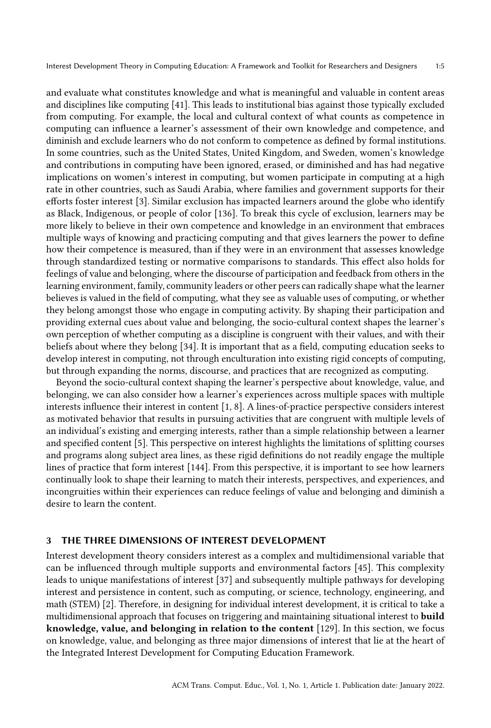and evaluate what constitutes knowledge and what is meaningful and valuable in content areas and disciplines like computing [\[41\]](#page-21-0). This leads to institutional bias against those typically excluded from computing. For example, the local and cultural context of what counts as competence in computing can influence a learner's assessment of their own knowledge and competence, and diminish and exclude learners who do not conform to competence as defined by formal institutions. In some countries, such as the United States, United Kingdom, and Sweden, women's knowledge and contributions in computing have been ignored, erased, or diminished and has had negative implications on women's interest in computing, but women participate in computing at a high rate in other countries, such as Saudi Arabia, where families and government supports for their efforts foster interest [\[3\]](#page-19-2). Similar exclusion has impacted learners around the globe who identify as Black, Indigenous, or people of color [\[136\]](#page-25-5). To break this cycle of exclusion, learners may be more likely to believe in their own competence and knowledge in an environment that embraces multiple ways of knowing and practicing computing and that gives learners the power to define how their competence is measured, than if they were in an environment that assesses knowledge through standardized testing or normative comparisons to standards. This effect also holds for feelings of value and belonging, where the discourse of participation and feedback from others in the learning environment, family, community leaders or other peers can radically shape what the learner believes is valued in the field of computing, what they see as valuable uses of computing, or whether they belong amongst those who engage in computing activity. By shaping their participation and providing external cues about value and belonging, the socio-cultural context shapes the learner's own perception of whether computing as a discipline is congruent with their values, and with their beliefs about where they belong [\[34\]](#page-21-1). It is important that as a field, computing education seeks to develop interest in computing, not through enculturation into existing rigid concepts of computing, but through expanding the norms, discourse, and practices that are recognized as computing.

Beyond the socio-cultural context shaping the learner's perspective about knowledge, value, and belonging, we can also consider how a learner's experiences across multiple spaces with multiple interests influence their interest in content [\[1,](#page-19-3) [8\]](#page-20-1). A lines-of-practice perspective considers interest as motivated behavior that results in pursuing activities that are congruent with multiple levels of an individual's existing and emerging interests, rather than a simple relationship between a learner and specified content [\[5\]](#page-19-4). This perspective on interest highlights the limitations of splitting courses and programs along subject area lines, as these rigid definitions do not readily engage the multiple lines of practice that form interest [\[144\]](#page-26-1). From this perspective, it is important to see how learners continually look to shape their learning to match their interests, perspectives, and experiences, and incongruities within their experiences can reduce feelings of value and belonging and diminish a desire to learn the content.

## <span id="page-4-0"></span>3 THE THREE DIMENSIONS OF INTEREST DEVELOPMENT

Interest development theory considers interest as a complex and multidimensional variable that can be influenced through multiple supports and environmental factors [\[45\]](#page-21-2). This complexity leads to unique manifestations of interest [\[37\]](#page-21-3) and subsequently multiple pathways for developing interest and persistence in content, such as computing, or science, technology, engineering, and math (STEM) [\[2\]](#page-19-5). Therefore, in designing for individual interest development, it is critical to take a multidimensional approach that focuses on triggering and maintaining situational interest to build knowledge, value, and belonging in relation to the content [\[129\]](#page-25-6). In this section, we focus on knowledge, value, and belonging as three major dimensions of interest that lie at the heart of the Integrated Interest Development for Computing Education Framework.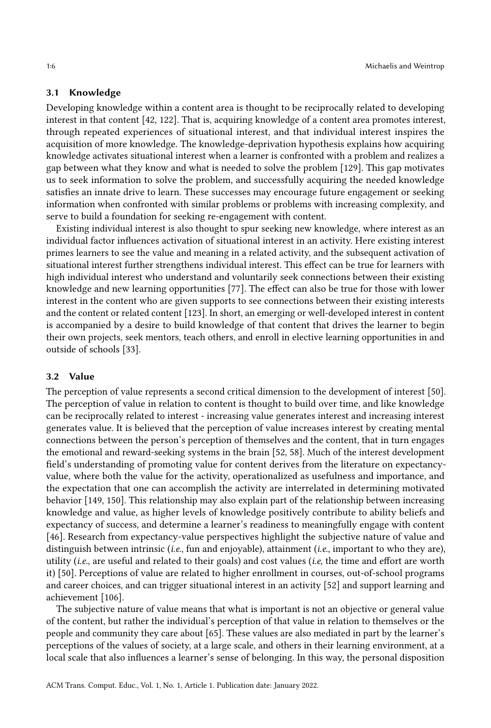## 3.1 Knowledge

Developing knowledge within a content area is thought to be reciprocally related to developing interest in that content [\[42,](#page-21-4) [122\]](#page-25-4). That is, acquiring knowledge of a content area promotes interest, through repeated experiences of situational interest, and that individual interest inspires the acquisition of more knowledge. The knowledge-deprivation hypothesis explains how acquiring knowledge activates situational interest when a learner is confronted with a problem and realizes a gap between what they know and what is needed to solve the problem [\[129\]](#page-25-6). This gap motivates us to seek information to solve the problem, and successfully acquiring the needed knowledge satisfies an innate drive to learn. These successes may encourage future engagement or seeking information when confronted with similar problems or problems with increasing complexity, and serve to build a foundation for seeking re-engagement with content.

Existing individual interest is also thought to spur seeking new knowledge, where interest as an individual factor influences activation of situational interest in an activity. Here existing interest primes learners to see the value and meaning in a related activity, and the subsequent activation of situational interest further strengthens individual interest. This effect can be true for learners with high individual interest who understand and voluntarily seek connections between their existing knowledge and new learning opportunities [\[77\]](#page-23-0). The effect can also be true for those with lower interest in the content who are given supports to see connections between their existing interests and the content or related content [\[123\]](#page-25-1). In short, an emerging or well-developed interest in content is accompanied by a desire to build knowledge of that content that drives the learner to begin their own projects, seek mentors, teach others, and enroll in elective learning opportunities in and outside of schools [\[33\]](#page-21-5).

#### 3.2 Value

The perception of value represents a second critical dimension to the development of interest [\[50\]](#page-22-4). The perception of value in relation to content is thought to build over time, and like knowledge can be reciprocally related to interest - increasing value generates interest and increasing interest generates value. It is believed that the perception of value increases interest by creating mental connections between the person's perception of themselves and the content, that in turn engages the emotional and reward-seeking systems in the brain [\[52,](#page-22-5) [58\]](#page-22-6). Much of the interest development field's understanding of promoting value for content derives from the literature on expectancyvalue, where both the value for the activity, operationalized as usefulness and importance, and the expectation that one can accomplish the activity are interrelated in determining motivated behavior [\[149,](#page-26-2) [150\]](#page-26-3). This relationship may also explain part of the relationship between increasing knowledge and value, as higher levels of knowledge positively contribute to ability beliefs and expectancy of success, and determine a learner's readiness to meaningfully engage with content [\[46\]](#page-21-6). Research from expectancy-value perspectives highlight the subjective nature of value and distinguish between intrinsic (*i.e.*, fun and enjoyable), attainment (*i.e.*, important to who they are), utility (i.e., are useful and related to their goals) and cost values (i.e, the time and effort are worth it) [\[50\]](#page-22-4). Perceptions of value are related to higher enrollment in courses, out-of-school programs and career choices, and can trigger situational interest in an activity [\[52\]](#page-22-5) and support learning and achievement [\[106\]](#page-24-5).

The subjective nature of value means that what is important is not an objective or general value of the content, but rather the individual's perception of that value in relation to themselves or the people and community they care about [\[65\]](#page-22-7). These values are also mediated in part by the learner's perceptions of the values of society, at a large scale, and others in their learning environment, at a local scale that also influences a learner's sense of belonging. In this way, the personal disposition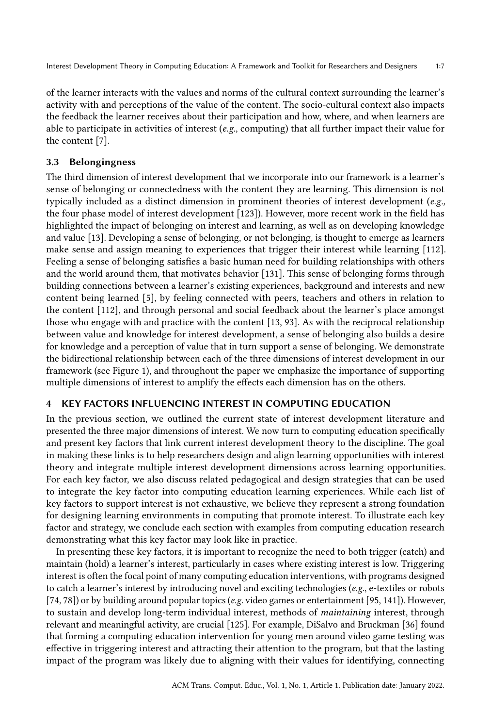of the learner interacts with the values and norms of the cultural context surrounding the learner's activity with and perceptions of the value of the content. The socio-cultural context also impacts the feedback the learner receives about their participation and how, where, and when learners are able to participate in activities of interest ( $e.g.,$  computing) that all further impact their value for the content [\[7\]](#page-19-1).

## 3.3 Belongingness

The third dimension of interest development that we incorporate into our framework is a learner's sense of belonging or connectedness with the content they are learning. This dimension is not typically included as a distinct dimension in prominent theories of interest development (e.g., the four phase model of interest development [\[123\]](#page-25-1)). However, more recent work in the field has highlighted the impact of belonging on interest and learning, as well as on developing knowledge and value [\[13\]](#page-20-0). Developing a sense of belonging, or not belonging, is thought to emerge as learners make sense and assign meaning to experiences that trigger their interest while learning [\[112\]](#page-24-3). Feeling a sense of belonging satisfies a basic human need for building relationships with others and the world around them, that motivates behavior [\[131\]](#page-25-7). This sense of belonging forms through building connections between a learner's existing experiences, background and interests and new content being learned [\[5\]](#page-19-4), by feeling connected with peers, teachers and others in relation to the content [\[112\]](#page-24-3), and through personal and social feedback about the learner's place amongst those who engage with and practice with the content [\[13,](#page-20-0) [93\]](#page-23-1). As with the reciprocal relationship between value and knowledge for interest development, a sense of belonging also builds a desire for knowledge and a perception of value that in turn support a sense of belonging. We demonstrate the bidirectional relationship between each of the three dimensions of interest development in our framework (see Figure [1\)](#page-1-0), and throughout the paper we emphasize the importance of supporting multiple dimensions of interest to amplify the effects each dimension has on the others.

## <span id="page-6-0"></span>4 KEY FACTORS INFLUENCING INTEREST IN COMPUTING EDUCATION

In the previous section, we outlined the current state of interest development literature and presented the three major dimensions of interest. We now turn to computing education specifically and present key factors that link current interest development theory to the discipline. The goal in making these links is to help researchers design and align learning opportunities with interest theory and integrate multiple interest development dimensions across learning opportunities. For each key factor, we also discuss related pedagogical and design strategies that can be used to integrate the key factor into computing education learning experiences. While each list of key factors to support interest is not exhaustive, we believe they represent a strong foundation for designing learning environments in computing that promote interest. To illustrate each key factor and strategy, we conclude each section with examples from computing education research demonstrating what this key factor may look like in practice.

In presenting these key factors, it is important to recognize the need to both trigger (catch) and maintain (hold) a learner's interest, particularly in cases where existing interest is low. Triggering interest is often the focal point of many computing education interventions, with programs designed to catch a learner's interest by introducing novel and exciting technologies (e.g., e-textiles or robots [\[74,](#page-23-2) [78\]](#page-23-3)) or by building around popular topics (e.g. video games or entertainment [\[95,](#page-24-6) [141\]](#page-26-4)). However, to sustain and develop long-term individual interest, methods of maintaining interest, through relevant and meaningful activity, are crucial [\[125\]](#page-25-8). For example, DiSalvo and Bruckman [\[36\]](#page-21-7) found that forming a computing education intervention for young men around video game testing was effective in triggering interest and attracting their attention to the program, but that the lasting impact of the program was likely due to aligning with their values for identifying, connecting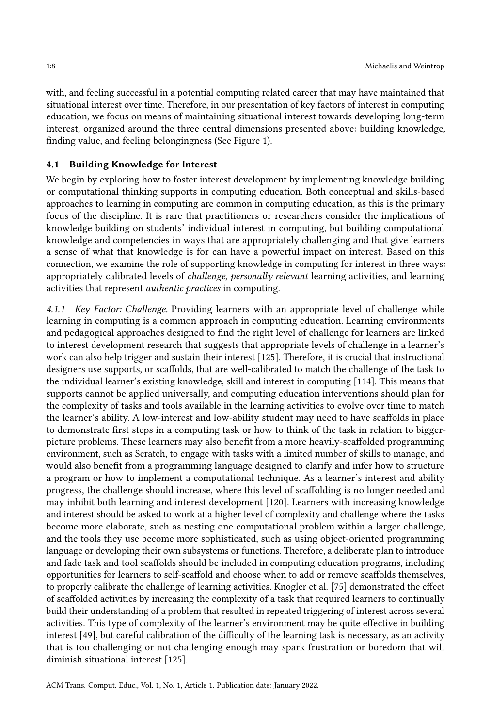with, and feeling successful in a potential computing related career that may have maintained that situational interest over time. Therefore, in our presentation of key factors of interest in computing education, we focus on means of maintaining situational interest towards developing long-term interest, organized around the three central dimensions presented above: building knowledge, finding value, and feeling belongingness (See Figure [1\)](#page-1-0).

#### 4.1 Building Knowledge for Interest

We begin by exploring how to foster interest development by implementing knowledge building or computational thinking supports in computing education. Both conceptual and skills-based approaches to learning in computing are common in computing education, as this is the primary focus of the discipline. It is rare that practitioners or researchers consider the implications of knowledge building on students' individual interest in computing, but building computational knowledge and competencies in ways that are appropriately challenging and that give learners a sense of what that knowledge is for can have a powerful impact on interest. Based on this connection, we examine the role of supporting knowledge in computing for interest in three ways: appropriately calibrated levels of challenge, personally relevant learning activities, and learning activities that represent authentic practices in computing.

4.1.1 Key Factor: Challenge. Providing learners with an appropriate level of challenge while learning in computing is a common approach in computing education. Learning environments and pedagogical approaches designed to find the right level of challenge for learners are linked to interest development research that suggests that appropriate levels of challenge in a learner's work can also help trigger and sustain their interest [\[125\]](#page-25-8). Therefore, it is crucial that instructional designers use supports, or scaffolds, that are well-calibrated to match the challenge of the task to the individual learner's existing knowledge, skill and interest in computing [\[114\]](#page-24-7). This means that supports cannot be applied universally, and computing education interventions should plan for the complexity of tasks and tools available in the learning activities to evolve over time to match the learner's ability. A low-interest and low-ability student may need to have scaffolds in place to demonstrate first steps in a computing task or how to think of the task in relation to biggerpicture problems. These learners may also benefit from a more heavily-scaffolded programming environment, such as Scratch, to engage with tasks with a limited number of skills to manage, and would also benefit from a programming language designed to clarify and infer how to structure a program or how to implement a computational technique. As a learner's interest and ability progress, the challenge should increase, where this level of scaffolding is no longer needed and may inhibit both learning and interest development [\[120\]](#page-25-2). Learners with increasing knowledge and interest should be asked to work at a higher level of complexity and challenge where the tasks become more elaborate, such as nesting one computational problem within a larger challenge, and the tools they use become more sophisticated, such as using object-oriented programming language or developing their own subsystems or functions. Therefore, a deliberate plan to introduce and fade task and tool scaffolds should be included in computing education programs, including opportunities for learners to self-scaffold and choose when to add or remove scaffolds themselves, to properly calibrate the challenge of learning activities. Knogler et al. [\[75\]](#page-23-4) demonstrated the effect of scaffolded activities by increasing the complexity of a task that required learners to continually build their understanding of a problem that resulted in repeated triggering of interest across several activities. This type of complexity of the learner's environment may be quite effective in building interest [\[49\]](#page-21-8), but careful calibration of the difficulty of the learning task is necessary, as an activity that is too challenging or not challenging enough may spark frustration or boredom that will diminish situational interest [\[125\]](#page-25-8).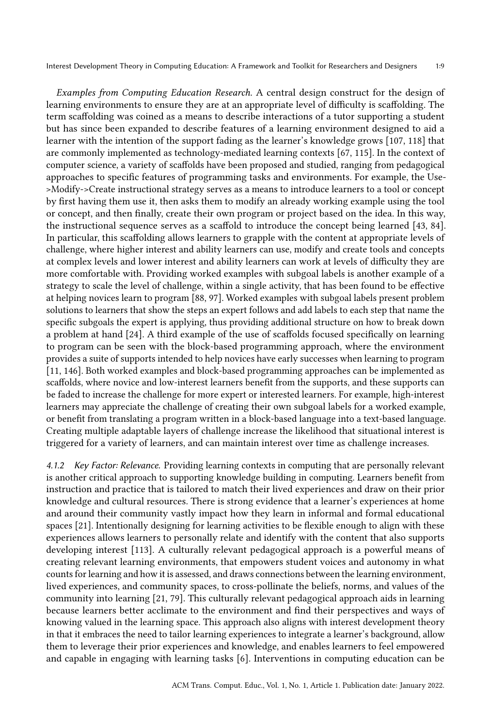Examples from Computing Education Research. A central design construct for the design of learning environments to ensure they are at an appropriate level of difficulty is scaffolding. The term scaffolding was coined as a means to describe interactions of a tutor supporting a student but has since been expanded to describe features of a learning environment designed to aid a learner with the intention of the support fading as the learner's knowledge grows [\[107,](#page-24-8) [118\]](#page-25-9) that are commonly implemented as technology-mediated learning contexts [\[67,](#page-22-8) [115\]](#page-24-9). In the context of computer science, a variety of scaffolds have been proposed and studied, ranging from pedagogical approaches to specific features of programming tasks and environments. For example, the Use- >Modify->Create instructional strategy serves as a means to introduce learners to a tool or concept by first having them use it, then asks them to modify an already working example using the tool or concept, and then finally, create their own program or project based on the idea. In this way, the instructional sequence serves as a scaffold to introduce the concept being learned [\[43,](#page-21-9) [84\]](#page-23-5). In particular, this scaffolding allows learners to grapple with the content at appropriate levels of challenge, where higher interest and ability learners can use, modify and create tools and concepts at complex levels and lower interest and ability learners can work at levels of difficulty they are more comfortable with. Providing worked examples with subgoal labels is another example of a strategy to scale the level of challenge, within a single activity, that has been found to be effective at helping novices learn to program [\[88,](#page-23-6) [97\]](#page-24-10). Worked examples with subgoal labels present problem solutions to learners that show the steps an expert follows and add labels to each step that name the specific subgoals the expert is applying, thus providing additional structure on how to break down a problem at hand [\[24\]](#page-20-2). A third example of the use of scaffolds focused specifically on learning to program can be seen with the block-based programming approach, where the environment provides a suite of supports intended to help novices have early successes when learning to program [\[11,](#page-20-3) [146\]](#page-26-5). Both worked examples and block-based programming approaches can be implemented as scaffolds, where novice and low-interest learners benefit from the supports, and these supports can be faded to increase the challenge for more expert or interested learners. For example, high-interest learners may appreciate the challenge of creating their own subgoal labels for a worked example, or benefit from translating a program written in a block-based language into a text-based language. Creating multiple adaptable layers of challenge increase the likelihood that situational interest is triggered for a variety of learners, and can maintain interest over time as challenge increases.

4.1.2 Key Factor: Relevance. Providing learning contexts in computing that are personally relevant is another critical approach to supporting knowledge building in computing. Learners benefit from instruction and practice that is tailored to match their lived experiences and draw on their prior knowledge and cultural resources. There is strong evidence that a learner's experiences at home and around their community vastly impact how they learn in informal and formal educational spaces [\[21\]](#page-20-4). Intentionally designing for learning activities to be flexible enough to align with these experiences allows learners to personally relate and identify with the content that also supports developing interest [\[113\]](#page-24-11). A culturally relevant pedagogical approach is a powerful means of creating relevant learning environments, that empowers student voices and autonomy in what counts for learning and how it is assessed, and draws connections between the learning environment, lived experiences, and community spaces, to cross-pollinate the beliefs, norms, and values of the community into learning [\[21,](#page-20-4) [79\]](#page-23-7). This culturally relevant pedagogical approach aids in learning because learners better acclimate to the environment and find their perspectives and ways of knowing valued in the learning space. This approach also aligns with interest development theory in that it embraces the need to tailor learning experiences to integrate a learner's background, allow them to leverage their prior experiences and knowledge, and enables learners to feel empowered and capable in engaging with learning tasks [\[6\]](#page-19-0). Interventions in computing education can be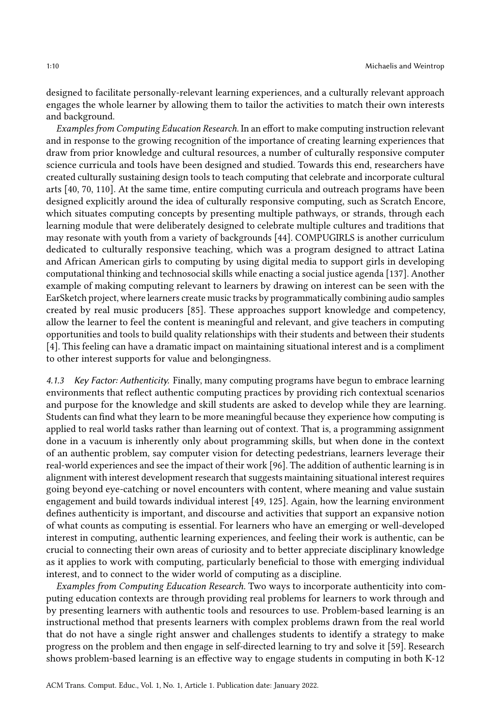designed to facilitate personally-relevant learning experiences, and a culturally relevant approach engages the whole learner by allowing them to tailor the activities to match their own interests and background.

Examples from Computing Education Research. In an effort to make computing instruction relevant and in response to the growing recognition of the importance of creating learning experiences that draw from prior knowledge and cultural resources, a number of culturally responsive computer science curricula and tools have been designed and studied. Towards this end, researchers have created culturally sustaining design tools to teach computing that celebrate and incorporate cultural arts [\[40,](#page-21-10) [70,](#page-22-9) [110\]](#page-24-12). At the same time, entire computing curricula and outreach programs have been designed explicitly around the idea of culturally responsive computing, such as Scratch Encore, which situates computing concepts by presenting multiple pathways, or strands, through each learning module that were deliberately designed to celebrate multiple cultures and traditions that may resonate with youth from a variety of backgrounds [\[44\]](#page-21-11). COMPUGIRLS is another curriculum dedicated to culturally responsive teaching, which was a program designed to attract Latina and African American girls to computing by using digital media to support girls in developing computational thinking and technosocial skills while enacting a social justice agenda [\[137\]](#page-25-10). Another example of making computing relevant to learners by drawing on interest can be seen with the EarSketch project, where learners create music tracks by programmatically combining audio samples created by real music producers [\[85\]](#page-23-8). These approaches support knowledge and competency, allow the learner to feel the content is meaningful and relevant, and give teachers in computing opportunities and tools to build quality relationships with their students and between their students [\[4\]](#page-19-6). This feeling can have a dramatic impact on maintaining situational interest and is a compliment to other interest supports for value and belongingness.

4.1.3 Key Factor: Authenticity. Finally, many computing programs have begun to embrace learning environments that reflect authentic computing practices by providing rich contextual scenarios and purpose for the knowledge and skill students are asked to develop while they are learning. Students can find what they learn to be more meaningful because they experience how computing is applied to real world tasks rather than learning out of context. That is, a programming assignment done in a vacuum is inherently only about programming skills, but when done in the context of an authentic problem, say computer vision for detecting pedestrians, learners leverage their real-world experiences and see the impact of their work [\[96\]](#page-24-13). The addition of authentic learning is in alignment with interest development research that suggests maintaining situational interest requires going beyond eye-catching or novel encounters with content, where meaning and value sustain engagement and build towards individual interest [\[49,](#page-21-8) [125\]](#page-25-8). Again, how the learning environment defines authenticity is important, and discourse and activities that support an expansive notion of what counts as computing is essential. For learners who have an emerging or well-developed interest in computing, authentic learning experiences, and feeling their work is authentic, can be crucial to connecting their own areas of curiosity and to better appreciate disciplinary knowledge as it applies to work with computing, particularly beneficial to those with emerging individual interest, and to connect to the wider world of computing as a discipline.

Examples from Computing Education Research. Two ways to incorporate authenticity into computing education contexts are through providing real problems for learners to work through and by presenting learners with authentic tools and resources to use. Problem-based learning is an instructional method that presents learners with complex problems drawn from the real world that do not have a single right answer and challenges students to identify a strategy to make progress on the problem and then engage in self-directed learning to try and solve it [\[59\]](#page-22-10). Research shows problem-based learning is an effective way to engage students in computing in both K-12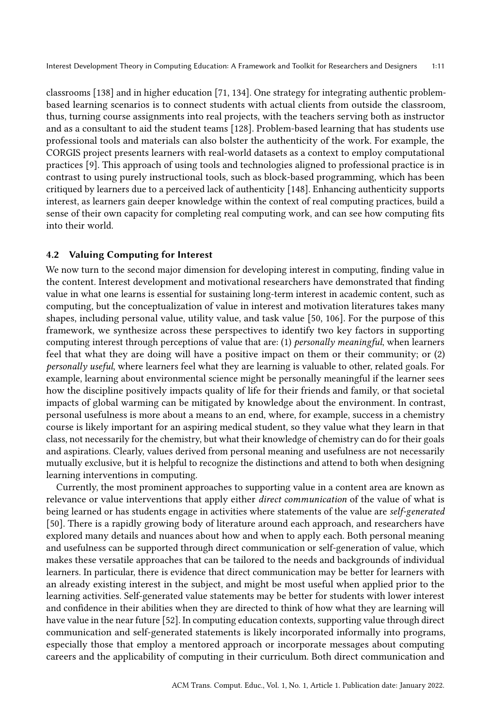classrooms [\[138\]](#page-25-11) and in higher education [\[71,](#page-22-11) [134\]](#page-25-12). One strategy for integrating authentic problembased learning scenarios is to connect students with actual clients from outside the classroom, thus, turning course assignments into real projects, with the teachers serving both as instructor and as a consultant to aid the student teams [\[128\]](#page-25-13). Problem-based learning that has students use professional tools and materials can also bolster the authenticity of the work. For example, the CORGIS project presents learners with real-world datasets as a context to employ computational practices [\[9\]](#page-20-5). This approach of using tools and technologies aligned to professional practice is in contrast to using purely instructional tools, such as block-based programming, which has been critiqued by learners due to a perceived lack of authenticity [\[148\]](#page-26-6). Enhancing authenticity supports interest, as learners gain deeper knowledge within the context of real computing practices, build a sense of their own capacity for completing real computing work, and can see how computing fits into their world.

## 4.2 Valuing Computing for Interest

We now turn to the second major dimension for developing interest in computing, finding value in the content. Interest development and motivational researchers have demonstrated that finding value in what one learns is essential for sustaining long-term interest in academic content, such as computing, but the conceptualization of value in interest and motivation literatures takes many shapes, including personal value, utility value, and task value [\[50,](#page-22-4) [106\]](#page-24-5). For the purpose of this framework, we synthesize across these perspectives to identify two key factors in supporting computing interest through perceptions of value that are: (1) personally meaningful, when learners feel that what they are doing will have a positive impact on them or their community; or (2) personally useful, where learners feel what they are learning is valuable to other, related goals. For example, learning about environmental science might be personally meaningful if the learner sees how the discipline positively impacts quality of life for their friends and family, or that societal impacts of global warming can be mitigated by knowledge about the environment. In contrast, personal usefulness is more about a means to an end, where, for example, success in a chemistry course is likely important for an aspiring medical student, so they value what they learn in that class, not necessarily for the chemistry, but what their knowledge of chemistry can do for their goals and aspirations. Clearly, values derived from personal meaning and usefulness are not necessarily mutually exclusive, but it is helpful to recognize the distinctions and attend to both when designing learning interventions in computing.

Currently, the most prominent approaches to supporting value in a content area are known as relevance or value interventions that apply either direct communication of the value of what is being learned or has students engage in activities where statements of the value are self-generated [\[50\]](#page-22-4). There is a rapidly growing body of literature around each approach, and researchers have explored many details and nuances about how and when to apply each. Both personal meaning and usefulness can be supported through direct communication or self-generation of value, which makes these versatile approaches that can be tailored to the needs and backgrounds of individual learners. In particular, there is evidence that direct communication may be better for learners with an already existing interest in the subject, and might be most useful when applied prior to the learning activities. Self-generated value statements may be better for students with lower interest and confidence in their abilities when they are directed to think of how what they are learning will have value in the near future [\[52\]](#page-22-5). In computing education contexts, supporting value through direct communication and self-generated statements is likely incorporated informally into programs, especially those that employ a mentored approach or incorporate messages about computing careers and the applicability of computing in their curriculum. Both direct communication and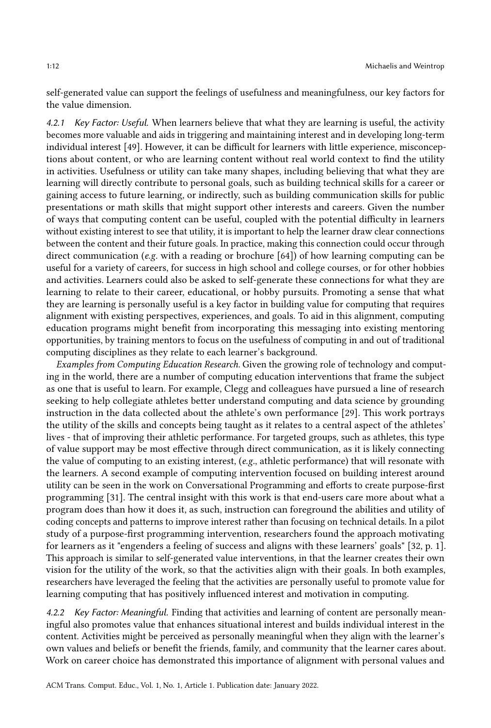self-generated value can support the feelings of usefulness and meaningfulness, our key factors for the value dimension.

4.2.1 Key Factor: Useful. When learners believe that what they are learning is useful, the activity becomes more valuable and aids in triggering and maintaining interest and in developing long-term individual interest [\[49\]](#page-21-8). However, it can be difficult for learners with little experience, misconceptions about content, or who are learning content without real world context to find the utility in activities. Usefulness or utility can take many shapes, including believing that what they are learning will directly contribute to personal goals, such as building technical skills for a career or gaining access to future learning, or indirectly, such as building communication skills for public presentations or math skills that might support other interests and careers. Given the number of ways that computing content can be useful, coupled with the potential difficulty in learners without existing interest to see that utility, it is important to help the learner draw clear connections between the content and their future goals. In practice, making this connection could occur through direct communication (e.g. with a reading or brochure [\[64\]](#page-22-12)) of how learning computing can be useful for a variety of careers, for success in high school and college courses, or for other hobbies and activities. Learners could also be asked to self-generate these connections for what they are learning to relate to their career, educational, or hobby pursuits. Promoting a sense that what they are learning is personally useful is a key factor in building value for computing that requires alignment with existing perspectives, experiences, and goals. To aid in this alignment, computing education programs might benefit from incorporating this messaging into existing mentoring opportunities, by training mentors to focus on the usefulness of computing in and out of traditional computing disciplines as they relate to each learner's background.

Examples from Computing Education Research. Given the growing role of technology and computing in the world, there are a number of computing education interventions that frame the subject as one that is useful to learn. For example, Clegg and colleagues have pursued a line of research seeking to help collegiate athletes better understand computing and data science by grounding instruction in the data collected about the athlete's own performance [\[29\]](#page-20-6). This work portrays the utility of the skills and concepts being taught as it relates to a central aspect of the athletes' lives - that of improving their athletic performance. For targeted groups, such as athletes, this type of value support may be most effective through direct communication, as it is likely connecting the value of computing to an existing interest, (e.g., athletic performance) that will resonate with the learners. A second example of computing intervention focused on building interest around utility can be seen in the work on Conversational Programming and efforts to create purpose-first programming [\[31\]](#page-21-12). The central insight with this work is that end-users care more about what a program does than how it does it, as such, instruction can foreground the abilities and utility of coding concepts and patterns to improve interest rather than focusing on technical details. In a pilot study of a purpose-first programming intervention, researchers found the approach motivating for learners as it "engenders a feeling of success and aligns with these learners' goals" [\[32,](#page-21-13) p. 1]. This approach is similar to self-generated value interventions, in that the learner creates their own vision for the utility of the work, so that the activities align with their goals. In both examples, researchers have leveraged the feeling that the activities are personally useful to promote value for learning computing that has positively influenced interest and motivation in computing.

4.2.2 Key Factor: Meaningful. Finding that activities and learning of content are personally meaningful also promotes value that enhances situational interest and builds individual interest in the content. Activities might be perceived as personally meaningful when they align with the learner's own values and beliefs or benefit the friends, family, and community that the learner cares about. Work on career choice has demonstrated this importance of alignment with personal values and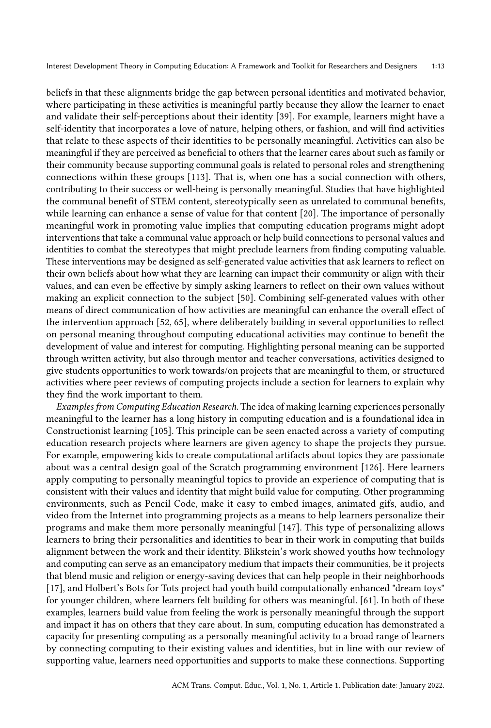beliefs in that these alignments bridge the gap between personal identities and motivated behavior, where participating in these activities is meaningful partly because they allow the learner to enact and validate their self-perceptions about their identity [\[39\]](#page-21-14). For example, learners might have a self-identity that incorporates a love of nature, helping others, or fashion, and will find activities that relate to these aspects of their identities to be personally meaningful. Activities can also be meaningful if they are perceived as beneficial to others that the learner cares about such as family or their community because supporting communal goals is related to personal roles and strengthening connections within these groups [\[113\]](#page-24-11). That is, when one has a social connection with others, contributing to their success or well-being is personally meaningful. Studies that have highlighted the communal benefit of STEM content, stereotypically seen as unrelated to communal benefits, while learning can enhance a sense of value for that content [\[20\]](#page-20-7). The importance of personally meaningful work in promoting value implies that computing education programs might adopt interventions that take a communal value approach or help build connections to personal values and identities to combat the stereotypes that might preclude learners from finding computing valuable. These interventions may be designed as self-generated value activities that ask learners to reflect on their own beliefs about how what they are learning can impact their community or align with their values, and can even be effective by simply asking learners to reflect on their own values without making an explicit connection to the subject [\[50\]](#page-22-4). Combining self-generated values with other means of direct communication of how activities are meaningful can enhance the overall effect of the intervention approach [\[52,](#page-22-5) [65\]](#page-22-7), where deliberately building in several opportunities to reflect on personal meaning throughout computing educational activities may continue to benefit the development of value and interest for computing. Highlighting personal meaning can be supported through written activity, but also through mentor and teacher conversations, activities designed to give students opportunities to work towards/on projects that are meaningful to them, or structured activities where peer reviews of computing projects include a section for learners to explain why they find the work important to them.

Examples from Computing Education Research. The idea of making learning experiences personally meaningful to the learner has a long history in computing education and is a foundational idea in Constructionist learning [\[105\]](#page-24-14). This principle can be seen enacted across a variety of computing education research projects where learners are given agency to shape the projects they pursue. For example, empowering kids to create computational artifacts about topics they are passionate about was a central design goal of the Scratch programming environment [\[126\]](#page-25-14). Here learners apply computing to personally meaningful topics to provide an experience of computing that is consistent with their values and identity that might build value for computing. Other programming environments, such as Pencil Code, make it easy to embed images, animated gifs, audio, and video from the Internet into programming projects as a means to help learners personalize their programs and make them more personally meaningful [\[147\]](#page-26-7). This type of personalizing allows learners to bring their personalities and identities to bear in their work in computing that builds alignment between the work and their identity. Blikstein's work showed youths how technology and computing can serve as an emancipatory medium that impacts their communities, be it projects that blend music and religion or energy-saving devices that can help people in their neighborhoods [\[17\]](#page-20-8), and Holbert's Bots for Tots project had youth build computationally enhanced "dream toys" for younger children, where learners felt building for others was meaningful. [\[61\]](#page-22-13). In both of these examples, learners build value from feeling the work is personally meaningful through the support and impact it has on others that they care about. In sum, computing education has demonstrated a capacity for presenting computing as a personally meaningful activity to a broad range of learners by connecting computing to their existing values and identities, but in line with our review of supporting value, learners need opportunities and supports to make these connections. Supporting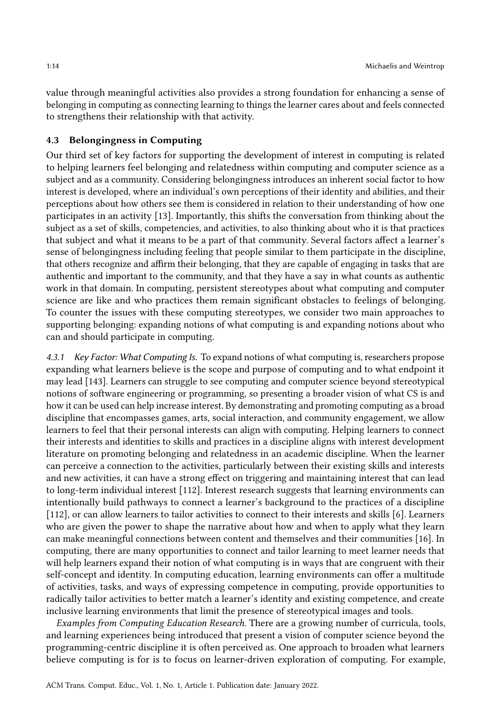value through meaningful activities also provides a strong foundation for enhancing a sense of belonging in computing as connecting learning to things the learner cares about and feels connected to strengthens their relationship with that activity.

## 4.3 Belongingness in Computing

Our third set of key factors for supporting the development of interest in computing is related to helping learners feel belonging and relatedness within computing and computer science as a subject and as a community. Considering belongingness introduces an inherent social factor to how interest is developed, where an individual's own perceptions of their identity and abilities, and their perceptions about how others see them is considered in relation to their understanding of how one participates in an activity [\[13\]](#page-20-0). Importantly, this shifts the conversation from thinking about the subject as a set of skills, competencies, and activities, to also thinking about who it is that practices that subject and what it means to be a part of that community. Several factors affect a learner's sense of belongingness including feeling that people similar to them participate in the discipline, that others recognize and affirm their belonging, that they are capable of engaging in tasks that are authentic and important to the community, and that they have a say in what counts as authentic work in that domain. In computing, persistent stereotypes about what computing and computer science are like and who practices them remain significant obstacles to feelings of belonging. To counter the issues with these computing stereotypes, we consider two main approaches to supporting belonging: expanding notions of what computing is and expanding notions about who can and should participate in computing.

4.3.1 Key Factor: What Computing Is. To expand notions of what computing is, researchers propose expanding what learners believe is the scope and purpose of computing and to what endpoint it may lead [\[143\]](#page-26-8). Learners can struggle to see computing and computer science beyond stereotypical notions of software engineering or programming, so presenting a broader vision of what CS is and how it can be used can help increase interest. By demonstrating and promoting computing as a broad discipline that encompasses games, arts, social interaction, and community engagement, we allow learners to feel that their personal interests can align with computing. Helping learners to connect their interests and identities to skills and practices in a discipline aligns with interest development literature on promoting belonging and relatedness in an academic discipline. When the learner can perceive a connection to the activities, particularly between their existing skills and interests and new activities, it can have a strong effect on triggering and maintaining interest that can lead to long-term individual interest [\[112\]](#page-24-3). Interest research suggests that learning environments can intentionally build pathways to connect a learner's background to the practices of a discipline [\[112\]](#page-24-3), or can allow learners to tailor activities to connect to their interests and skills [\[6\]](#page-19-0). Learners who are given the power to shape the narrative about how and when to apply what they learn can make meaningful connections between content and themselves and their communities [\[16\]](#page-20-9). In computing, there are many opportunities to connect and tailor learning to meet learner needs that will help learners expand their notion of what computing is in ways that are congruent with their self-concept and identity. In computing education, learning environments can offer a multitude of activities, tasks, and ways of expressing competence in computing, provide opportunities to radically tailor activities to better match a learner's identity and existing competence, and create inclusive learning environments that limit the presence of stereotypical images and tools.

Examples from Computing Education Research. There are a growing number of curricula, tools, and learning experiences being introduced that present a vision of computer science beyond the programming-centric discipline it is often perceived as. One approach to broaden what learners believe computing is for is to focus on learner-driven exploration of computing. For example,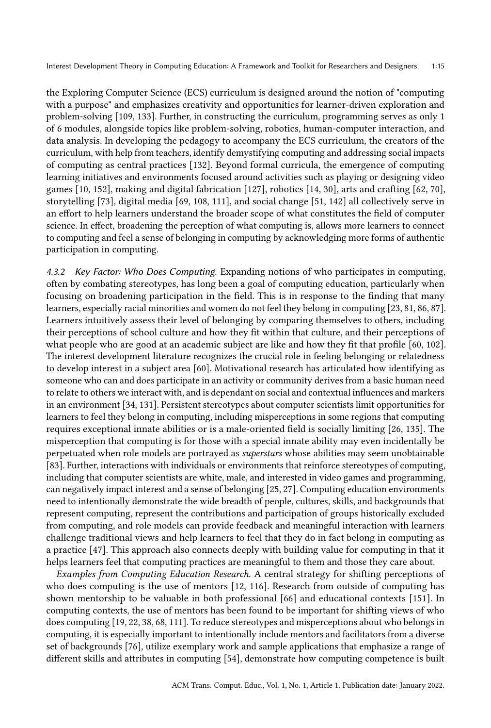the Exploring Computer Science (ECS) curriculum is designed around the notion of "computing with a purpose" and emphasizes creativity and opportunities for learner-driven exploration and problem-solving [\[109,](#page-24-15) [133\]](#page-25-15). Further, in constructing the curriculum, programming serves as only 1 of 6 modules, alongside topics like problem-solving, robotics, human-computer interaction, and data analysis. In developing the pedagogy to accompany the ECS curriculum, the creators of the curriculum, with help from teachers, identify demystifying computing and addressing social impacts of computing as central practices [\[132\]](#page-25-16). Beyond formal curricula, the emergence of computing learning initiatives and environments focused around activities such as playing or designing video games [\[10,](#page-20-10) [152\]](#page-26-9), making and digital fabrication [\[127\]](#page-25-17), robotics [\[14,](#page-20-11) [30\]](#page-21-15), arts and crafting [\[62,](#page-22-14) [70\]](#page-22-9), storytelling [\[73\]](#page-23-9), digital media [\[69,](#page-22-15) [108,](#page-24-16) [111\]](#page-24-17), and social change [\[51,](#page-22-16) [142\]](#page-26-10) all collectively serve in an effort to help learners understand the broader scope of what constitutes the field of computer science. In effect, broadening the perception of what computing is, allows more learners to connect to computing and feel a sense of belonging in computing by acknowledging more forms of authentic participation in computing.

4.3.2 Key Factor: Who Does Computing. Expanding notions of who participates in computing, often by combating stereotypes, has long been a goal of computing education, particularly when focusing on broadening participation in the field. This is in response to the finding that many learners, especially racial minorities and women do not feel they belong in computing [\[23,](#page-20-12) [81,](#page-23-10) [86,](#page-23-11) [87\]](#page-23-12). Learners intuitively assess their level of belonging by comparing themselves to others, including their perceptions of school culture and how they fit within that culture, and their perceptions of what people who are good at an academic subject are like and how they fit that profile [\[60,](#page-22-17) [102\]](#page-24-18). The interest development literature recognizes the crucial role in feeling belonging or relatedness to develop interest in a subject area [\[60\]](#page-22-17). Motivational research has articulated how identifying as someone who can and does participate in an activity or community derives from a basic human need to relate to others we interact with, and is dependant on social and contextual influences and markers in an environment [\[34,](#page-21-1) [131\]](#page-25-7). Persistent stereotypes about computer scientists limit opportunities for learners to feel they belong in computing, including misperceptions in some regions that computing requires exceptional innate abilities or is a male-oriented field is socially limiting [\[26,](#page-20-13) [135\]](#page-25-18). The misperception that computing is for those with a special innate ability may even incidentally be perpetuated when role models are portrayed as superstars whose abilities may seem unobtainable [\[83\]](#page-23-13). Further, interactions with individuals or environments that reinforce stereotypes of computing, including that computer scientists are white, male, and interested in video games and programming, can negatively impact interest and a sense of belonging [\[25,](#page-20-14) [27\]](#page-20-15). Computing education environments need to intentionally demonstrate the wide breadth of people, cultures, skills, and backgrounds that represent computing, represent the contributions and participation of groups historically excluded from computing, and role models can provide feedback and meaningful interaction with learners challenge traditional views and help learners to feel that they do in fact belong in computing as a practice [\[47\]](#page-21-16). This approach also connects deeply with building value for computing in that it helps learners feel that computing practices are meaningful to them and those they care about.

Examples from Computing Education Research. A central strategy for shifting perceptions of who does computing is the use of mentors [\[12,](#page-20-16) [116\]](#page-24-19). Research from outside of computing has shown mentorship to be valuable in both professional [\[66\]](#page-22-18) and educational contexts [\[151\]](#page-26-11). In computing contexts, the use of mentors has been found to be important for shifting views of who does computing [\[19,](#page-20-17) [22,](#page-20-18) [38,](#page-21-17) [68,](#page-22-19) [111\]](#page-24-17). To reduce stereotypes and misperceptions about who belongs in computing, it is especially important to intentionally include mentors and facilitators from a diverse set of backgrounds [\[76\]](#page-23-14), utilize exemplary work and sample applications that emphasize a range of different skills and attributes in computing [\[54\]](#page-22-20), demonstrate how computing competence is built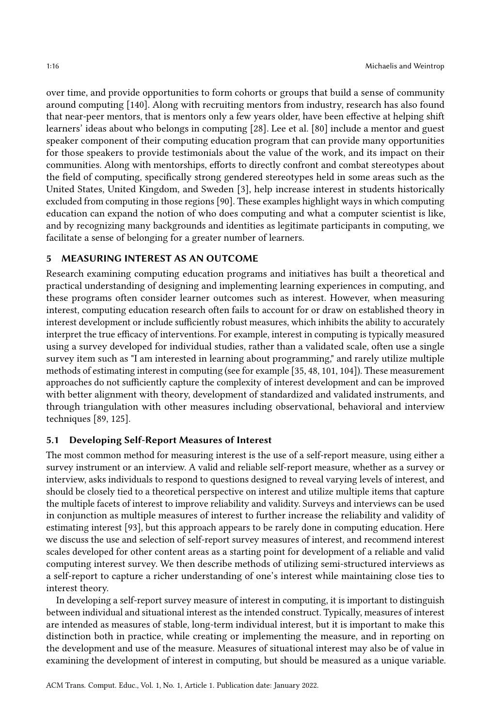over time, and provide opportunities to form cohorts or groups that build a sense of community around computing [\[140\]](#page-26-12). Along with recruiting mentors from industry, research has also found that near-peer mentors, that is mentors only a few years older, have been effective at helping shift learners' ideas about who belongs in computing [\[28\]](#page-20-19). Lee et al. [\[80\]](#page-23-15) include a mentor and guest speaker component of their computing education program that can provide many opportunities for those speakers to provide testimonials about the value of the work, and its impact on their communities. Along with mentorships, efforts to directly confront and combat stereotypes about the field of computing, specifically strong gendered stereotypes held in some areas such as the United States, United Kingdom, and Sweden [\[3\]](#page-19-2), help increase interest in students historically excluded from computing in those regions [\[90\]](#page-23-16). These examples highlight ways in which computing education can expand the notion of who does computing and what a computer scientist is like, and by recognizing many backgrounds and identities as legitimate participants in computing, we facilitate a sense of belonging for a greater number of learners.

## 5 MEASURING INTEREST AS AN OUTCOME

Research examining computing education programs and initiatives has built a theoretical and practical understanding of designing and implementing learning experiences in computing, and these programs often consider learner outcomes such as interest. However, when measuring interest, computing education research often fails to account for or draw on established theory in interest development or include sufficiently robust measures, which inhibits the ability to accurately interpret the true efficacy of interventions. For example, interest in computing is typically measured using a survey developed for individual studies, rather than a validated scale, often use a single survey item such as "I am interested in learning about programming," and rarely utilize multiple methods of estimating interest in computing (see for example [\[35,](#page-21-18) [48,](#page-21-19) [101,](#page-24-20) [104\]](#page-24-21)). These measurement approaches do not sufficiently capture the complexity of interest development and can be improved with better alignment with theory, development of standardized and validated instruments, and through triangulation with other measures including observational, behavioral and interview techniques [\[89,](#page-23-17) [125\]](#page-25-8).

## 5.1 Developing Self-Report Measures of Interest

The most common method for measuring interest is the use of a self-report measure, using either a survey instrument or an interview. A valid and reliable self-report measure, whether as a survey or interview, asks individuals to respond to questions designed to reveal varying levels of interest, and should be closely tied to a theoretical perspective on interest and utilize multiple items that capture the multiple facets of interest to improve reliability and validity. Surveys and interviews can be used in conjunction as multiple measures of interest to further increase the reliability and validity of estimating interest [\[93\]](#page-23-1), but this approach appears to be rarely done in computing education. Here we discuss the use and selection of self-report survey measures of interest, and recommend interest scales developed for other content areas as a starting point for development of a reliable and valid computing interest survey. We then describe methods of utilizing semi-structured interviews as a self-report to capture a richer understanding of one's interest while maintaining close ties to interest theory.

In developing a self-report survey measure of interest in computing, it is important to distinguish between individual and situational interest as the intended construct. Typically, measures of interest are intended as measures of stable, long-term individual interest, but it is important to make this distinction both in practice, while creating or implementing the measure, and in reporting on the development and use of the measure. Measures of situational interest may also be of value in examining the development of interest in computing, but should be measured as a unique variable.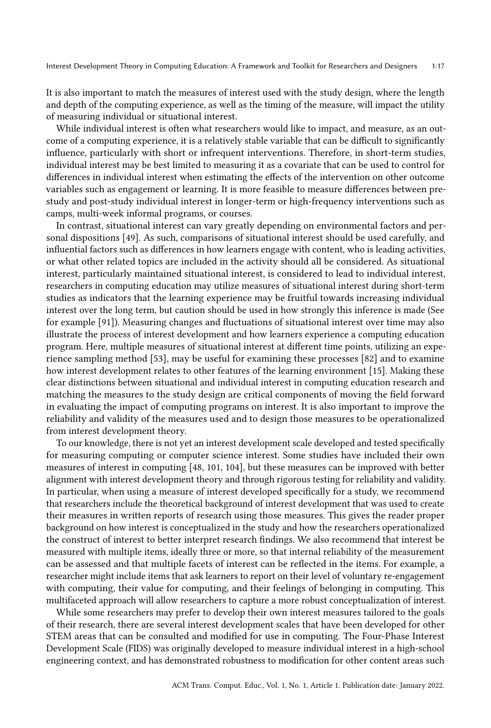It is also important to match the measures of interest used with the study design, where the length and depth of the computing experience, as well as the timing of the measure, will impact the utility of measuring individual or situational interest.

While individual interest is often what researchers would like to impact, and measure, as an outcome of a computing experience, it is a relatively stable variable that can be difficult to significantly influence, particularly with short or infrequent interventions. Therefore, in short-term studies, individual interest may be best limited to measuring it as a covariate that can be used to control for differences in individual interest when estimating the effects of the intervention on other outcome variables such as engagement or learning. It is more feasible to measure differences between prestudy and post-study individual interest in longer-term or high-frequency interventions such as camps, multi-week informal programs, or courses.

In contrast, situational interest can vary greatly depending on environmental factors and personal dispositions [\[49\]](#page-21-8). As such, comparisons of situational interest should be used carefully, and influential factors such as differences in how learners engage with content, who is leading activities, or what other related topics are included in the activity should all be considered. As situational interest, particularly maintained situational interest, is considered to lead to individual interest, researchers in computing education may utilize measures of situational interest during short-term studies as indicators that the learning experience may be fruitful towards increasing individual interest over the long term, but caution should be used in how strongly this inference is made (See for example [\[91\]](#page-23-18)). Measuring changes and fluctuations of situational interest over time may also illustrate the process of interest development and how learners experience a computing education program. Here, multiple measures of situational interest at different time points, utilizing an experience sampling method [\[53\]](#page-22-21), may be useful for examining these processes [\[82\]](#page-23-19) and to examine how interest development relates to other features of the learning environment [\[15\]](#page-20-20). Making these clear distinctions between situational and individual interest in computing education research and matching the measures to the study design are critical components of moving the field forward in evaluating the impact of computing programs on interest. It is also important to improve the reliability and validity of the measures used and to design those measures to be operationalized from interest development theory.

To our knowledge, there is not yet an interest development scale developed and tested specifically for measuring computing or computer science interest. Some studies have included their own measures of interest in computing [\[48,](#page-21-19) [101,](#page-24-20) [104\]](#page-24-21), but these measures can be improved with better alignment with interest development theory and through rigorous testing for reliability and validity. In particular, when using a measure of interest developed specifically for a study, we recommend that researchers include the theoretical background of interest development that was used to create their measures in written reports of research using those measures. This gives the reader proper background on how interest is conceptualized in the study and how the researchers operationalized the construct of interest to better interpret research findings. We also recommend that interest be measured with multiple items, ideally three or more, so that internal reliability of the measurement can be assessed and that multiple facets of interest can be reflected in the items. For example, a researcher might include items that ask learners to report on their level of voluntary re-engagement with computing, their value for computing, and their feelings of belonging in computing. This multifaceted approach will allow researchers to capture a more robust conceptualization of interest.

While some researchers may prefer to develop their own interest measures tailored to the goals of their research, there are several interest development scales that have been developed for other STEM areas that can be consulted and modified for use in computing. The Four-Phase Interest Development Scale (FIDS) was originally developed to measure individual interest in a high-school engineering context, and has demonstrated robustness to modification for other content areas such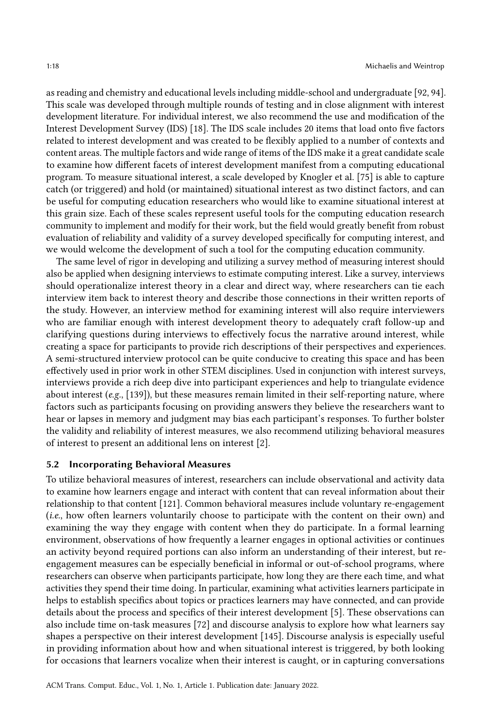as reading and chemistry and educational levels including middle-school and undergraduate [\[92,](#page-23-20) [94\]](#page-24-22). This scale was developed through multiple rounds of testing and in close alignment with interest development literature. For individual interest, we also recommend the use and modification of the Interest Development Survey (IDS) [\[18\]](#page-20-21). The IDS scale includes 20 items that load onto five factors related to interest development and was created to be flexibly applied to a number of contexts and content areas. The multiple factors and wide range of items of the IDS make it a great candidate scale to examine how different facets of interest development manifest from a computing educational program. To measure situational interest, a scale developed by Knogler et al. [\[75\]](#page-23-4) is able to capture catch (or triggered) and hold (or maintained) situational interest as two distinct factors, and can be useful for computing education researchers who would like to examine situational interest at this grain size. Each of these scales represent useful tools for the computing education research community to implement and modify for their work, but the field would greatly benefit from robust evaluation of reliability and validity of a survey developed specifically for computing interest, and we would welcome the development of such a tool for the computing education community.

The same level of rigor in developing and utilizing a survey method of measuring interest should also be applied when designing interviews to estimate computing interest. Like a survey, interviews should operationalize interest theory in a clear and direct way, where researchers can tie each interview item back to interest theory and describe those connections in their written reports of the study. However, an interview method for examining interest will also require interviewers who are familiar enough with interest development theory to adequately craft follow-up and clarifying questions during interviews to effectively focus the narrative around interest, while creating a space for participants to provide rich descriptions of their perspectives and experiences. A semi-structured interview protocol can be quite conducive to creating this space and has been effectively used in prior work in other STEM disciplines. Used in conjunction with interest surveys, interviews provide a rich deep dive into participant experiences and help to triangulate evidence about interest  $(e.g., [139])$  $(e.g., [139])$  $(e.g., [139])$ , but these measures remain limited in their self-reporting nature, where factors such as participants focusing on providing answers they believe the researchers want to hear or lapses in memory and judgment may bias each participant's responses. To further bolster the validity and reliability of interest measures, we also recommend utilizing behavioral measures of interest to present an additional lens on interest [\[2\]](#page-19-5).

## 5.2 Incorporating Behavioral Measures

To utilize behavioral measures of interest, researchers can include observational and activity data to examine how learners engage and interact with content that can reveal information about their relationship to that content [\[121\]](#page-25-20). Common behavioral measures include voluntary re-engagement (i.e., how often learners voluntarily choose to participate with the content on their own) and examining the way they engage with content when they do participate. In a formal learning environment, observations of how frequently a learner engages in optional activities or continues an activity beyond required portions can also inform an understanding of their interest, but reengagement measures can be especially beneficial in informal or out-of-school programs, where researchers can observe when participants participate, how long they are there each time, and what activities they spend their time doing. In particular, examining what activities learners participate in helps to establish specifics about topics or practices learners may have connected, and can provide details about the process and specifics of their interest development [\[5\]](#page-19-4). These observations can also include time on-task measures [\[72\]](#page-22-22) and discourse analysis to explore how what learners say shapes a perspective on their interest development [\[145\]](#page-26-13). Discourse analysis is especially useful in providing information about how and when situational interest is triggered, by both looking for occasions that learners vocalize when their interest is caught, or in capturing conversations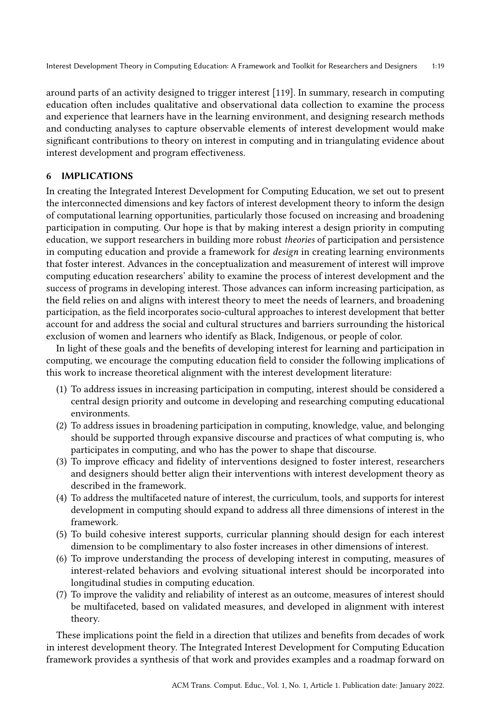around parts of an activity designed to trigger interest [\[119\]](#page-25-21). In summary, research in computing education often includes qualitative and observational data collection to examine the process and experience that learners have in the learning environment, and designing research methods and conducting analyses to capture observable elements of interest development would make significant contributions to theory on interest in computing and in triangulating evidence about interest development and program effectiveness.

## 6 IMPLICATIONS

In creating the Integrated Interest Development for Computing Education, we set out to present the interconnected dimensions and key factors of interest development theory to inform the design of computational learning opportunities, particularly those focused on increasing and broadening participation in computing. Our hope is that by making interest a design priority in computing education, we support researchers in building more robust theories of participation and persistence in computing education and provide a framework for design in creating learning environments that foster interest. Advances in the conceptualization and measurement of interest will improve computing education researchers' ability to examine the process of interest development and the success of programs in developing interest. Those advances can inform increasing participation, as the field relies on and aligns with interest theory to meet the needs of learners, and broadening participation, as the field incorporates socio-cultural approaches to interest development that better account for and address the social and cultural structures and barriers surrounding the historical exclusion of women and learners who identify as Black, Indigenous, or people of color.

In light of these goals and the benefits of developing interest for learning and participation in computing, we encourage the computing education field to consider the following implications of this work to increase theoretical alignment with the interest development literature:

- (1) To address issues in increasing participation in computing, interest should be considered a central design priority and outcome in developing and researching computing educational environments.
- (2) To address issues in broadening participation in computing, knowledge, value, and belonging should be supported through expansive discourse and practices of what computing is, who participates in computing, and who has the power to shape that discourse.
- (3) To improve efficacy and fidelity of interventions designed to foster interest, researchers and designers should better align their interventions with interest development theory as described in the framework.
- (4) To address the multifaceted nature of interest, the curriculum, tools, and supports for interest development in computing should expand to address all three dimensions of interest in the framework.
- (5) To build cohesive interest supports, curricular planning should design for each interest dimension to be complimentary to also foster increases in other dimensions of interest.
- (6) To improve understanding the process of developing interest in computing, measures of interest-related behaviors and evolving situational interest should be incorporated into longitudinal studies in computing education.
- (7) To improve the validity and reliability of interest as an outcome, measures of interest should be multifaceted, based on validated measures, and developed in alignment with interest theory.

These implications point the field in a direction that utilizes and benefits from decades of work in interest development theory. The Integrated Interest Development for Computing Education framework provides a synthesis of that work and provides examples and a roadmap forward on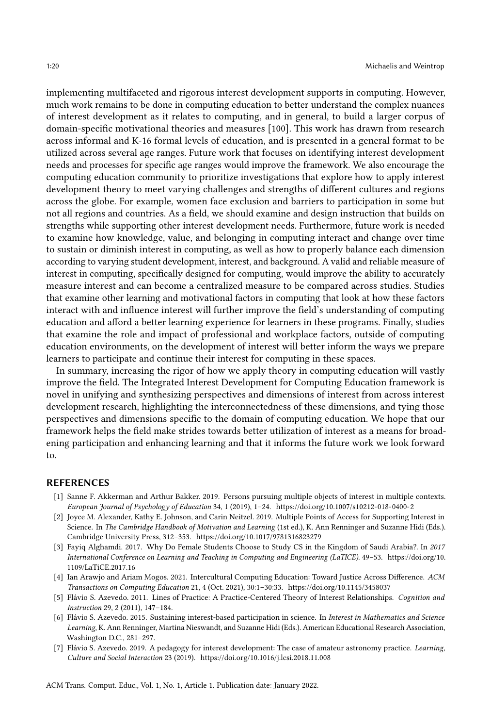implementing multifaceted and rigorous interest development supports in computing. However, much work remains to be done in computing education to better understand the complex nuances of interest development as it relates to computing, and in general, to build a larger corpus of domain-specific motivational theories and measures [\[100\]](#page-24-23). This work has drawn from research across informal and K-16 formal levels of education, and is presented in a general format to be utilized across several age ranges. Future work that focuses on identifying interest development needs and processes for specific age ranges would improve the framework. We also encourage the computing education community to prioritize investigations that explore how to apply interest development theory to meet varying challenges and strengths of different cultures and regions across the globe. For example, women face exclusion and barriers to participation in some but not all regions and countries. As a field, we should examine and design instruction that builds on strengths while supporting other interest development needs. Furthermore, future work is needed to examine how knowledge, value, and belonging in computing interact and change over time to sustain or diminish interest in computing, as well as how to properly balance each dimension according to varying student development, interest, and background. A valid and reliable measure of interest in computing, specifically designed for computing, would improve the ability to accurately measure interest and can become a centralized measure to be compared across studies. Studies that examine other learning and motivational factors in computing that look at how these factors interact with and influence interest will further improve the field's understanding of computing education and afford a better learning experience for learners in these programs. Finally, studies that examine the role and impact of professional and workplace factors, outside of computing education environments, on the development of interest will better inform the ways we prepare learners to participate and continue their interest for computing in these spaces.

In summary, increasing the rigor of how we apply theory in computing education will vastly improve the field. The Integrated Interest Development for Computing Education framework is novel in unifying and synthesizing perspectives and dimensions of interest from across interest development research, highlighting the interconnectedness of these dimensions, and tying those perspectives and dimensions specific to the domain of computing education. We hope that our framework helps the field make strides towards better utilization of interest as a means for broadening participation and enhancing learning and that it informs the future work we look forward to.

#### REFERENCES

- <span id="page-19-3"></span>[1] Sanne F. Akkerman and Arthur Bakker. 2019. Persons pursuing multiple objects of interest in multiple contexts. European Journal of Psychology of Education 34, 1 (2019), 1–24.<https://doi.org/10.1007/s10212-018-0400-2>
- <span id="page-19-5"></span>[2] Joyce M. Alexander, Kathy E. Johnson, and Carin Neitzel. 2019. Multiple Points of Access for Supporting Interest in Science. In The Cambridge Handbook of Motivation and Learning (1st ed.), K. Ann Renninger and Suzanne Hidi (Eds.). Cambridge University Press, 312–353.<https://doi.org/10.1017/9781316823279>
- <span id="page-19-2"></span>[3] Fayiq Alghamdi. 2017. Why Do Female Students Choose to Study CS in the Kingdom of Saudi Arabia?. In 2017 International Conference on Learning and Teaching in Computing and Engineering (LaTICE). 49–53. [https://doi.org/10.](https://doi.org/10.1109/LaTiCE.2017.16) [1109/LaTiCE.2017.16](https://doi.org/10.1109/LaTiCE.2017.16)
- <span id="page-19-6"></span>[4] Ian Arawjo and Ariam Mogos. 2021. Intercultural Computing Education: Toward Justice Across Difference. ACM Transactions on Computing Education 21, 4 (Oct. 2021), 30:1–30:33.<https://doi.org/10.1145/3458037>
- <span id="page-19-4"></span>[5] Flávio S. Azevedo. 2011. Lines of Practice: A Practice-Centered Theory of Interest Relationships. Cognition and Instruction 29, 2 (2011), 147–184.
- <span id="page-19-0"></span>[6] Flávio S. Azevedo. 2015. Sustaining interest-based participation in science. In Interest in Mathematics and Science Learning, K. Ann Renninger, Martina Nieswandt, and Suzanne Hidi (Eds.). American Educational Research Association, Washington D.C., 281–297.
- <span id="page-19-1"></span>[7] Flávio S. Azevedo. 2019. A pedagogy for interest development: The case of amateur astronomy practice. Learning, Culture and Social Interaction 23 (2019).<https://doi.org/10.1016/j.lcsi.2018.11.008>

ACM Trans. Comput. Educ., Vol. 1, No. 1, Article 1. Publication date: January 2022.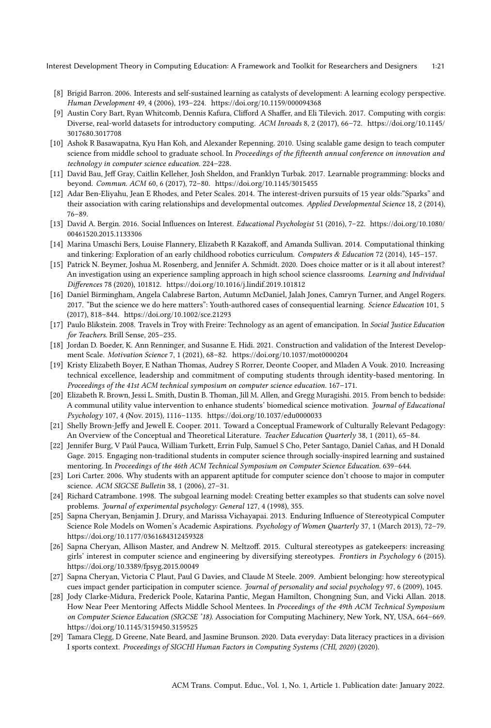- <span id="page-20-1"></span>[8] Brigid Barron. 2006. Interests and self-sustained learning as catalysts of development: A learning ecology perspective. Human Development 49, 4 (2006), 193–224.<https://doi.org/10.1159/000094368>
- <span id="page-20-5"></span>[9] Austin Cory Bart, Ryan Whitcomb, Dennis Kafura, Clifford A Shaffer, and Eli Tilevich. 2017. Computing with corgis: Diverse, real-world datasets for introductory computing. ACM Inroads 8, 2 (2017), 66–72. [https://doi.org/10.1145/](https://doi.org/10.1145/3017680.3017708) [3017680.3017708](https://doi.org/10.1145/3017680.3017708)
- <span id="page-20-10"></span>[10] Ashok R Basawapatna, Kyu Han Koh, and Alexander Repenning. 2010. Using scalable game design to teach computer science from middle school to graduate school. In Proceedings of the fifteenth annual conference on innovation and technology in computer science education. 224–228.
- <span id="page-20-3"></span>[11] David Bau, Jeff Gray, Caitlin Kelleher, Josh Sheldon, and Franklyn Turbak. 2017. Learnable programming: blocks and beyond. Commun. ACM 60, 6 (2017), 72–80.<https://doi.org/10.1145/3015455>
- <span id="page-20-16"></span>[12] Adar Ben-Eliyahu, Jean E Rhodes, and Peter Scales. 2014. The interest-driven pursuits of 15 year olds:"Sparks" and their association with caring relationships and developmental outcomes. Applied Developmental Science 18, 2 (2014), 76–89.
- <span id="page-20-0"></span>[13] David A. Bergin. 2016. Social Influences on Interest. Educational Psychologist 51 (2016), 7–22. [https://doi.org/10.1080/](https://doi.org/10.1080/00461520.2015.1133306) [00461520.2015.1133306](https://doi.org/10.1080/00461520.2015.1133306)
- <span id="page-20-11"></span>[14] Marina Umaschi Bers, Louise Flannery, Elizabeth R Kazakoff, and Amanda Sullivan. 2014. Computational thinking and tinkering: Exploration of an early childhood robotics curriculum. Computers & Education 72 (2014), 145-157.
- <span id="page-20-20"></span>[15] Patrick N. Beymer, Joshua M. Rosenberg, and Jennifer A. Schmidt. 2020. Does choice matter or is it all about interest? An investigation using an experience sampling approach in high school science classrooms. Learning and Individual Differences 78 (2020), 101812.<https://doi.org/10.1016/j.lindif.2019.101812>
- <span id="page-20-9"></span>[16] Daniel Birmingham, Angela Calabrese Barton, Autumn McDaniel, Jalah Jones, Camryn Turner, and Angel Rogers. 2017. "But the science we do here matters": Youth-authored cases of consequential learning. Science Education 101, 5 (2017), 818–844.<https://doi.org/10.1002/sce.21293>
- <span id="page-20-8"></span>[17] Paulo Blikstein. 2008. Travels in Troy with Freire: Technology as an agent of emancipation. In Social Justice Education for Teachers. Brill Sense, 205–235.
- <span id="page-20-21"></span>[18] Jordan D. Boeder, K. Ann Renninger, and Susanne E. Hidi. 2021. Construction and validation of the Interest Development Scale. Motivation Science 7, 1 (2021), 68–82.<https://doi.org/10.1037/mot0000204>
- <span id="page-20-17"></span>[19] Kristy Elizabeth Boyer, E Nathan Thomas, Audrey S Rorrer, Deonte Cooper, and Mladen A Vouk. 2010. Increasing technical excellence, leadership and commitment of computing students through identity-based mentoring. In Proceedings of the 41st ACM technical symposium on computer science education. 167–171.
- <span id="page-20-7"></span>[20] Elizabeth R. Brown, Jessi L. Smith, Dustin B. Thoman, Jill M. Allen, and Gregg Muragishi. 2015. From bench to bedside: A communal utility value intervention to enhance students' biomedical science motivation. Journal of Educational Psychology 107, 4 (Nov. 2015), 1116–1135.<https://doi.org/10.1037/edu0000033>
- <span id="page-20-4"></span>[21] Shelly Brown-Jeffy and Jewell E. Cooper. 2011. Toward a Conceptual Framework of Culturally Relevant Pedagogy: An Overview of the Conceptual and Theoretical Literature. Teacher Education Quarterly 38, 1 (2011), 65-84.
- <span id="page-20-18"></span>[22] Jennifer Burg, V Paúl Pauca, William Turkett, Errin Fulp, Samuel S Cho, Peter Santago, Daniel Cañas, and H Donald Gage. 2015. Engaging non-traditional students in computer science through socially-inspired learning and sustained mentoring. In Proceedings of the 46th ACM Technical Symposium on Computer Science Education. 639–644.
- <span id="page-20-12"></span>[23] Lori Carter. 2006. Why students with an apparent aptitude for computer science don't choose to major in computer science. ACM SIGCSE Bulletin 38, 1 (2006), 27–31.
- <span id="page-20-2"></span>[24] Richard Catrambone. 1998. The subgoal learning model: Creating better examples so that students can solve novel problems. Journal of experimental psychology: General 127, 4 (1998), 355.
- <span id="page-20-14"></span>[25] Sapna Cheryan, Benjamin J. Drury, and Marissa Vichayapai. 2013. Enduring Influence of Stereotypical Computer Science Role Models on Women's Academic Aspirations. Psychology of Women Quarterly 37, 1 (March 2013), 72-79. <https://doi.org/10.1177/0361684312459328>
- <span id="page-20-13"></span>[26] Sapna Cheryan, Allison Master, and Andrew N. Meltzoff. 2015. Cultural stereotypes as gatekeepers: increasing girls' interest in computer science and engineering by diversifying stereotypes. Frontiers in Psychology 6 (2015). <https://doi.org/10.3389/fpsyg.2015.00049>
- <span id="page-20-15"></span>[27] Sapna Cheryan, Victoria C Plaut, Paul G Davies, and Claude M Steele. 2009. Ambient belonging: how stereotypical cues impact gender participation in computer science. Journal of personality and social psychology 97, 6 (2009), 1045.
- <span id="page-20-19"></span>[28] Jody Clarke-Midura, Frederick Poole, Katarina Pantic, Megan Hamilton, Chongning Sun, and Vicki Allan. 2018. How Near Peer Mentoring Affects Middle School Mentees. In Proceedings of the 49th ACM Technical Symposium on Computer Science Education (SIGCSE '18). Association for Computing Machinery, New York, NY, USA, 664–669. <https://doi.org/10.1145/3159450.3159525>
- <span id="page-20-6"></span>[29] Tamara Clegg, D Greene, Nate Beard, and Jasmine Brunson. 2020. Data everyday: Data literacy practices in a division I sports context. Proceedings of SIGCHI Human Factors in Computing Systems (CHI, 2020) (2020).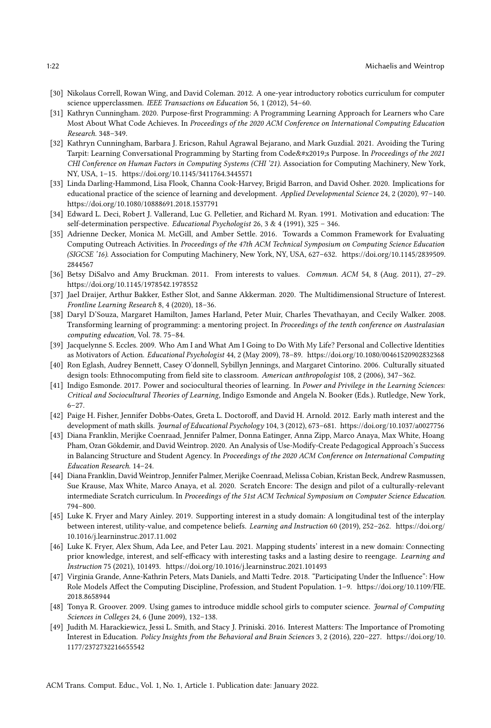- <span id="page-21-15"></span>[30] Nikolaus Correll, Rowan Wing, and David Coleman. 2012. A one-year introductory robotics curriculum for computer science upperclassmen. IEEE Transactions on Education 56, 1 (2012), 54-60.
- <span id="page-21-12"></span>[31] Kathryn Cunningham. 2020. Purpose-first Programming: A Programming Learning Approach for Learners who Care Most About What Code Achieves. In Proceedings of the 2020 ACM Conference on International Computing Education Research. 348–349.
- <span id="page-21-13"></span>[32] Kathryn Cunningham, Barbara J. Ericson, Rahul Agrawal Bejarano, and Mark Guzdial. 2021. Avoiding the Turing Tarpit: Learning Conversational Programming by Starting from Code's Purpose. In Proceedings of the 2021 CHI Conference on Human Factors in Computing Systems (CHI '21). Association for Computing Machinery, New York, NY, USA, 1–15.<https://doi.org/10.1145/3411764.3445571>
- <span id="page-21-5"></span>[33] Linda Darling-Hammond, Lisa Flook, Channa Cook-Harvey, Brigid Barron, and David Osher. 2020. Implications for educational practice of the science of learning and development. Applied Developmental Science 24, 2 (2020), 97–140. <https://doi.org/10.1080/10888691.2018.1537791>
- <span id="page-21-1"></span>[34] Edward L. Deci, Robert J. Vallerand, Luc G. Pelletier, and Richard M. Ryan. 1991. Motivation and education: The self-determination perspective. Educational Psychologist 26, 3 & 4 (1991), 325 – 346.
- <span id="page-21-18"></span>[35] Adrienne Decker, Monica M. McGill, and Amber Settle. 2016. Towards a Common Framework for Evaluating Computing Outreach Activities. In Proceedings of the 47th ACM Technical Symposium on Computing Science Education (SIGCSE '16). Association for Computing Machinery, New York, NY, USA, 627–632. [https://doi.org/10.1145/2839509.](https://doi.org/10.1145/2839509.2844567) [2844567](https://doi.org/10.1145/2839509.2844567)
- <span id="page-21-7"></span>[36] Betsy DiSalvo and Amy Bruckman. 2011. From interests to values. Commun. ACM 54, 8 (Aug. 2011), 27-29. <https://doi.org/10.1145/1978542.1978552>
- <span id="page-21-3"></span>[37] Jael Draijer, Arthur Bakker, Esther Slot, and Sanne Akkerman. 2020. The Multidimensional Structure of Interest. Frontline Learning Research 8, 4 (2020), 18–36.
- <span id="page-21-17"></span>[38] Daryl D'Souza, Margaret Hamilton, James Harland, Peter Muir, Charles Thevathayan, and Cecily Walker. 2008. Transforming learning of programming: a mentoring project. In Proceedings of the tenth conference on Australasian computing education, Vol. 78. 75–84.
- <span id="page-21-14"></span>[39] Jacquelynne S. Eccles. 2009. Who Am I and What Am I Going to Do With My Life? Personal and Collective Identities as Motivators of Action. Educational Psychologist 44, 2 (May 2009), 78–89.<https://doi.org/10.1080/00461520902832368>
- <span id="page-21-10"></span>[40] Ron Eglash, Audrey Bennett, Casey O'donnell, Sybillyn Jennings, and Margaret Cintorino. 2006. Culturally situated design tools: Ethnocomputing from field site to classroom. American anthropologist 108, 2 (2006), 347-362.
- <span id="page-21-0"></span>[41] Indigo Esmonde. 2017. Power and sociocultural theories of learning. In Power and Privilege in the Learning Sciences: Critical and Sociocultural Theories of Learning, Indigo Esmonde and Angela N. Booker (Eds.). Rutledge, New York, 6–27.
- <span id="page-21-4"></span>[42] Paige H. Fisher, Jennifer Dobbs-Oates, Greta L. Doctoroff, and David H. Arnold. 2012. Early math interest and the development of math skills. Journal of Educational Psychology 104, 3 (2012), 673–681.<https://doi.org/10.1037/a0027756>
- <span id="page-21-9"></span>[43] Diana Franklin, Merijke Coenraad, Jennifer Palmer, Donna Eatinger, Anna Zipp, Marco Anaya, Max White, Hoang Pham, Ozan Gökdemir, and David Weintrop. 2020. An Analysis of Use-Modify-Create Pedagogical Approach's Success in Balancing Structure and Student Agency. In Proceedings of the 2020 ACM Conference on International Computing Education Research. 14–24.
- <span id="page-21-11"></span>[44] Diana Franklin, David Weintrop, Jennifer Palmer, Merijke Coenraad, Melissa Cobian, Kristan Beck, Andrew Rasmussen, Sue Krause, Max White, Marco Anaya, et al. 2020. Scratch Encore: The design and pilot of a culturally-relevant intermediate Scratch curriculum. In Proceedings of the 51st ACM Technical Symposium on Computer Science Education. 794–800.
- <span id="page-21-2"></span>[45] Luke K. Fryer and Mary Ainley. 2019. Supporting interest in a study domain: A longitudinal test of the interplay between interest, utility-value, and competence beliefs. Learning and Instruction 60 (2019), 252-262. [https://doi.org/](https://doi.org/10.1016/j.learninstruc.2017.11.002) [10.1016/j.learninstruc.2017.11.002](https://doi.org/10.1016/j.learninstruc.2017.11.002)
- <span id="page-21-6"></span>[46] Luke K. Fryer, Alex Shum, Ada Lee, and Peter Lau. 2021. Mapping students' interest in a new domain: Connecting prior knowledge, interest, and self-efficacy with interesting tasks and a lasting desire to reengage. Learning and Instruction 75 (2021), 101493.<https://doi.org/10.1016/j.learninstruc.2021.101493>
- <span id="page-21-16"></span>[47] Virginia Grande, Anne-Kathrin Peters, Mats Daniels, and Matti Tedre. 2018. "Participating Under the Influence": How Role Models Affect the Computing Discipline, Profession, and Student Population. 1–9. [https://doi.org/10.1109/FIE.](https://doi.org/10.1109/FIE.2018.8658944) [2018.8658944](https://doi.org/10.1109/FIE.2018.8658944)
- <span id="page-21-19"></span>[48] Tonya R. Groover. 2009. Using games to introduce middle school girls to computer science. Journal of Computing Sciences in Colleges 24, 6 (June 2009), 132–138.
- <span id="page-21-8"></span>[49] Judith M. Harackiewicz, Jessi L. Smith, and Stacy J. Priniski. 2016. Interest Matters: The Importance of Promoting Interest in Education. Policy Insights from the Behavioral and Brain Sciences 3, 2 (2016), 220–227. [https://doi.org/10.](https://doi.org/10.1177/2372732216655542) [1177/2372732216655542](https://doi.org/10.1177/2372732216655542)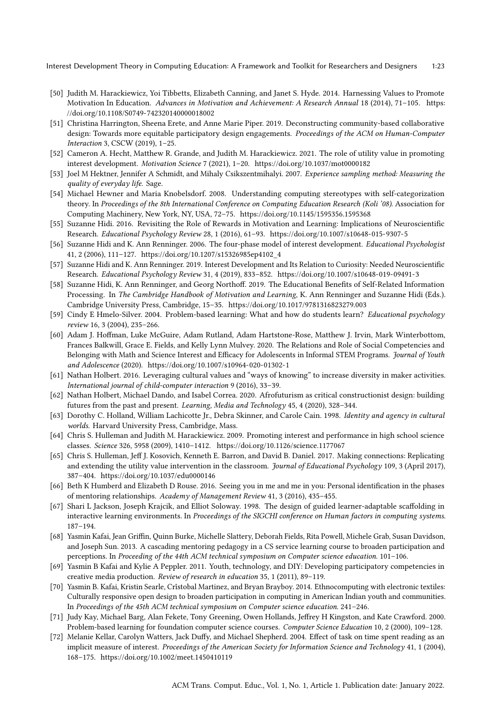- <span id="page-22-4"></span>[50] Judith M. Harackiewicz, Yoi Tibbetts, Elizabeth Canning, and Janet S. Hyde. 2014. Harnessing Values to Promote Motivation In Education. Advances in Motivation and Achievement: A Research Annual 18 (2014), 71-105. [https:](https://doi.org/10.1108/S0749-742320140000018002) [//doi.org/10.1108/S0749-742320140000018002](https://doi.org/10.1108/S0749-742320140000018002)
- <span id="page-22-16"></span>[51] Christina Harrington, Sheena Erete, and Anne Marie Piper. 2019. Deconstructing community-based collaborative design: Towards more equitable participatory design engagements. Proceedings of the ACM on Human-Computer Interaction 3, CSCW (2019), 1–25.
- <span id="page-22-5"></span>[52] Cameron A. Hecht, Matthew R. Grande, and Judith M. Harackiewicz. 2021. The role of utility value in promoting interest development. Motivation Science 7 (2021), 1–20.<https://doi.org/10.1037/mot0000182>
- <span id="page-22-21"></span>[53] Joel M Hektner, Jennifer A Schmidt, and Mihaly Csikszentmihalyi. 2007. Experience sampling method: Measuring the quality of everyday life. Sage.
- <span id="page-22-20"></span>[54] Michael Hewner and Maria Knobelsdorf. 2008. Understanding computing stereotypes with self-categorization theory. In Proceedings of the 8th International Conference on Computing Education Research (Koli '08). Association for Computing Machinery, New York, NY, USA, 72–75.<https://doi.org/10.1145/1595356.1595368>
- <span id="page-22-0"></span>[55] Suzanne Hidi. 2016. Revisiting the Role of Rewards in Motivation and Learning: Implications of Neuroscientific Research. Educational Psychology Review 28, 1 (2016), 61–93.<https://doi.org/10.1007/s10648-015-9307-5>
- <span id="page-22-1"></span>[56] Suzanne Hidi and K. Ann Renninger. 2006. The four-phase model of interest development. Educational Psychologist 41, 2 (2006), 111–127. [https://doi.org/10.1207/s15326985ep4102\\_4](https://doi.org/10.1207/s15326985ep4102_4)
- <span id="page-22-2"></span>[57] Suzanne Hidi and K. Ann Renninger. 2019. Interest Development and Its Relation to Curiosity: Needed Neuroscientific Research. Educational Psychology Review 31, 4 (2019), 833–852.<https://doi.org/10.1007/s10648-019-09491-3>
- <span id="page-22-6"></span>[58] Suzanne Hidi, K. Ann Renninger, and Georg Northoff. 2019. The Educational Benefits of Self-Related Information Processing. In The Cambridge Handbook of Motivation and Learning, K. Ann Renninger and Suzanne Hidi (Eds.). Cambridge University Press, Cambridge, 15–35.<https://doi.org/10.1017/9781316823279.003>
- <span id="page-22-10"></span>[59] Cindy E Hmelo-Silver. 2004. Problem-based learning: What and how do students learn? Educational psychology review 16, 3 (2004), 235–266.
- <span id="page-22-17"></span>[60] Adam J. Hoffman, Luke McGuire, Adam Rutland, Adam Hartstone-Rose, Matthew J. Irvin, Mark Winterbottom, Frances Balkwill, Grace E. Fields, and Kelly Lynn Mulvey. 2020. The Relations and Role of Social Competencies and Belonging with Math and Science Interest and Efficacy for Adolescents in Informal STEM Programs. Journal of Youth and Adolescence (2020).<https://doi.org/10.1007/s10964-020-01302-1>
- <span id="page-22-13"></span>[61] Nathan Holbert. 2016. Leveraging cultural values and "ways of knowing" to increase diversity in maker activities. International journal of child-computer interaction 9 (2016), 33–39.
- <span id="page-22-14"></span>[62] Nathan Holbert, Michael Dando, and Isabel Correa. 2020. Afrofuturism as critical constructionist design: building futures from the past and present. Learning, Media and Technology 45, 4 (2020), 328–344.
- <span id="page-22-3"></span>[63] Dorothy C. Holland, William Lachicotte Jr., Debra Skinner, and Carole Cain. 1998. Identity and agency in cultural worlds. Harvard University Press, Cambridge, Mass.
- <span id="page-22-12"></span>[64] Chris S. Hulleman and Judith M. Harackiewicz. 2009. Promoting interest and performance in high school science classes. Science 326, 5958 (2009), 1410–1412.<https://doi.org/10.1126/science.1177067>
- <span id="page-22-7"></span>[65] Chris S. Hulleman, Jeff J. Kosovich, Kenneth E. Barron, and David B. Daniel. 2017. Making connections: Replicating and extending the utility value intervention in the classroom. Journal of Educational Psychology 109, 3 (April 2017), 387–404.<https://doi.org/10.1037/edu0000146>
- <span id="page-22-18"></span>[66] Beth K Humberd and Elizabeth D Rouse. 2016. Seeing you in me and me in you: Personal identification in the phases of mentoring relationships. Academy of Management Review 41, 3 (2016), 435–455.
- <span id="page-22-8"></span>[67] Shari L Jackson, Joseph Krajcik, and Elliot Soloway. 1998. The design of guided learner-adaptable scaffolding in interactive learning environments. In Proceedings of the SIGCHI conference on Human factors in computing systems. 187–194.
- <span id="page-22-19"></span>[68] Yasmin Kafai, Jean Griffin, Quinn Burke, Michelle Slattery, Deborah Fields, Rita Powell, Michele Grab, Susan Davidson, and Joseph Sun. 2013. A cascading mentoring pedagogy in a CS service learning course to broaden participation and perceptions. In Proceeding of the 44th ACM technical symposium on Computer science education. 101–106.
- <span id="page-22-15"></span>[69] Yasmin B Kafai and Kylie A Peppler. 2011. Youth, technology, and DIY: Developing participatory competencies in creative media production. Review of research in education 35, 1 (2011), 89–119.
- <span id="page-22-9"></span>[70] Yasmin B. Kafai, Kristin Searle, Crîstobal Martinez, and Bryan Brayboy. 2014. Ethnocomputing with electronic textiles: Culturally responsive open design to broaden participation in computing in American Indian youth and communities. In Proceedings of the 45th ACM technical symposium on Computer science education. 241–246.
- <span id="page-22-11"></span>[71] Judy Kay, Michael Barg, Alan Fekete, Tony Greening, Owen Hollands, Jeffrey H Kingston, and Kate Crawford. 2000. Problem-based learning for foundation computer science courses. Computer Science Education 10, 2 (2000), 109-128.
- <span id="page-22-22"></span>[72] Melanie Kellar, Carolyn Watters, Jack Duffy, and Michael Shepherd. 2004. Effect of task on time spent reading as an implicit measure of interest. Proceedings of the American Society for Information Science and Technology 41, 1 (2004), 168–175.<https://doi.org/10.1002/meet.1450410119>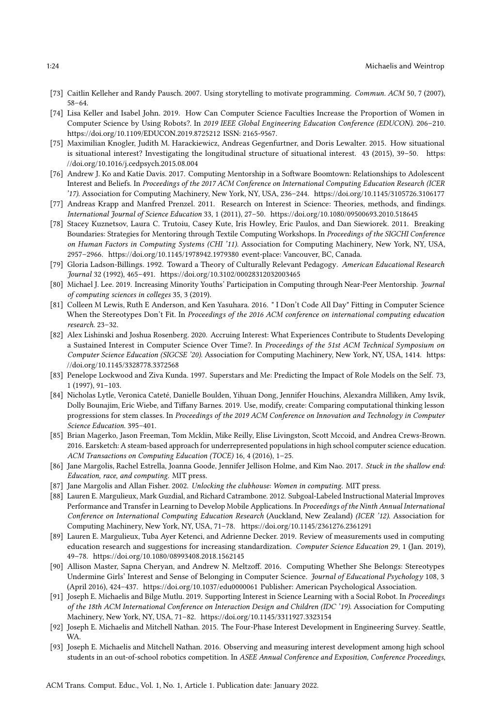- <span id="page-23-9"></span>[73] Caitlin Kelleher and Randy Pausch. 2007. Using storytelling to motivate programming. Commun. ACM 50, 7 (2007), 58–64.
- <span id="page-23-2"></span>[74] Lisa Keller and Isabel John. 2019. How Can Computer Science Faculties Increase the Proportion of Women in Computer Science by Using Robots?. In 2019 IEEE Global Engineering Education Conference (EDUCON). 206–210. <https://doi.org/10.1109/EDUCON.2019.8725212> ISSN: 2165-9567.
- <span id="page-23-4"></span>[75] Maximilian Knogler, Judith M. Harackiewicz, Andreas Gegenfurtner, and Doris Lewalter. 2015. How situational is situational interest? Investigating the longitudinal structure of situational interest. 43 (2015), 39–50. [https:](https://doi.org/10.1016/j.cedpsych.2015.08.004) [//doi.org/10.1016/j.cedpsych.2015.08.004](https://doi.org/10.1016/j.cedpsych.2015.08.004)
- <span id="page-23-14"></span>[76] Andrew J. Ko and Katie Davis. 2017. Computing Mentorship in a Software Boomtown: Relationships to Adolescent Interest and Beliefs. In Proceedings of the 2017 ACM Conference on International Computing Education Research (ICER '17). Association for Computing Machinery, New York, NY, USA, 236–244.<https://doi.org/10.1145/3105726.3106177>
- <span id="page-23-0"></span>[77] Andreas Krapp and Manfred Prenzel. 2011. Research on Interest in Science: Theories, methods, and findings. International Journal of Science Education 33, 1 (2011), 27–50.<https://doi.org/10.1080/09500693.2010.518645>
- <span id="page-23-3"></span>[78] Stacey Kuznetsov, Laura C. Trutoiu, Casey Kute, Iris Howley, Eric Paulos, and Dan Siewiorek. 2011. Breaking Boundaries: Strategies for Mentoring through Textile Computing Workshops. In Proceedings of the SIGCHI Conference on Human Factors in Computing Systems (CHI '11). Association for Computing Machinery, New York, NY, USA, 2957–2966.<https://doi.org/10.1145/1978942.1979380> event-place: Vancouver, BC, Canada.
- <span id="page-23-7"></span>[79] Gloria Ladson-Billings. 1992. Toward a Theory of Culturally Relevant Pedagogy. American Educational Research Journal 32 (1992), 465–491.<https://doi.org/10.3102/00028312032003465>
- <span id="page-23-15"></span>[80] Michael J. Lee. 2019. Increasing Minority Youths' Participation in Computing through Near-Peer Mentorship. Journal of computing sciences in colleges 35, 3 (2019).
- <span id="page-23-10"></span>[81] Colleen M Lewis, Ruth E Anderson, and Ken Yasuhara. 2016. " I Don't Code All Day" Fitting in Computer Science When the Stereotypes Don't Fit. In Proceedings of the 2016 ACM conference on international computing education research. 23–32.
- <span id="page-23-19"></span>[82] Alex Lishinski and Joshua Rosenberg. 2020. Accruing Interest: What Experiences Contribute to Students Developing a Sustained Interest in Computer Science Over Time?. In Proceedings of the 51st ACM Technical Symposium on Computer Science Education (SIGCSE '20). Association for Computing Machinery, New York, NY, USA, 1414. [https:](https://doi.org/10.1145/3328778.3372568) [//doi.org/10.1145/3328778.3372568](https://doi.org/10.1145/3328778.3372568)
- <span id="page-23-13"></span>[83] Penelope Lockwood and Ziva Kunda. 1997. Superstars and Me: Predicting the Impact of Role Models on the Self. 73, 1 (1997), 91–103.
- <span id="page-23-5"></span>[84] Nicholas Lytle, Veronica Cateté, Danielle Boulden, Yihuan Dong, Jennifer Houchins, Alexandra Milliken, Amy Isvik, Dolly Bounajim, Eric Wiebe, and Tiffany Barnes. 2019. Use, modify, create: Comparing computational thinking lesson progressions for stem classes. In Proceedings of the 2019 ACM Conference on Innovation and Technology in Computer Science Education. 395–401.
- <span id="page-23-8"></span>[85] Brian Magerko, Jason Freeman, Tom Mcklin, Mike Reilly, Elise Livingston, Scott Mccoid, and Andrea Crews-Brown. 2016. Earsketch: A steam-based approach for underrepresented populations in high school computer science education. ACM Transactions on Computing Education (TOCE) 16, 4 (2016), 1–25.
- <span id="page-23-11"></span>[86] Jane Margolis, Rachel Estrella, Joanna Goode, Jennifer Jellison Holme, and Kim Nao. 2017. Stuck in the shallow end: Education, race, and computing. MIT press.
- <span id="page-23-12"></span>[87] Jane Margolis and Allan Fisher. 2002. Unlocking the clubhouse: Women in computing. MIT press.
- <span id="page-23-6"></span>[88] Lauren E. Margulieux, Mark Guzdial, and Richard Catrambone. 2012. Subgoal-Labeled Instructional Material Improves Performance and Transfer in Learning to Develop Mobile Applications. In Proceedings of the Ninth Annual International Conference on International Computing Education Research (Auckland, New Zealand) (ICER '12). Association for Computing Machinery, New York, NY, USA, 71–78.<https://doi.org/10.1145/2361276.2361291>
- <span id="page-23-17"></span>[89] Lauren E. Margulieux, Tuba Ayer Ketenci, and Adrienne Decker. 2019. Review of measurements used in computing education research and suggestions for increasing standardization. Computer Science Education 29, 1 (Jan. 2019), 49–78.<https://doi.org/10.1080/08993408.2018.1562145>
- <span id="page-23-16"></span>[90] Allison Master, Sapna Cheryan, and Andrew N. Meltzoff. 2016. Computing Whether She Belongs: Stereotypes Undermine Girls' Interest and Sense of Belonging in Computer Science. Journal of Educational Psychology 108, 3 (April 2016), 424–437.<https://doi.org/10.1037/edu0000061> Publisher: American Psychological Association.
- <span id="page-23-18"></span>[91] Joseph E. Michaelis and Bilge Mutlu. 2019. Supporting Interest in Science Learning with a Social Robot. In Proceedings of the 18th ACM International Conference on Interaction Design and Children (IDC '19). Association for Computing Machinery, New York, NY, USA, 71–82.<https://doi.org/10.1145/3311927.3323154>
- <span id="page-23-20"></span>[92] Joseph E. Michaelis and Mitchell Nathan. 2015. The Four-Phase Interest Development in Engineering Survey. Seattle, WA.
- <span id="page-23-1"></span>[93] Joseph E. Michaelis and Mitchell Nathan. 2016. Observing and measuring interest development among high school students in an out-of-school robotics competition. In ASEE Annual Conference and Exposition, Conference Proceedings,

ACM Trans. Comput. Educ., Vol. 1, No. 1, Article 1. Publication date: January 2022.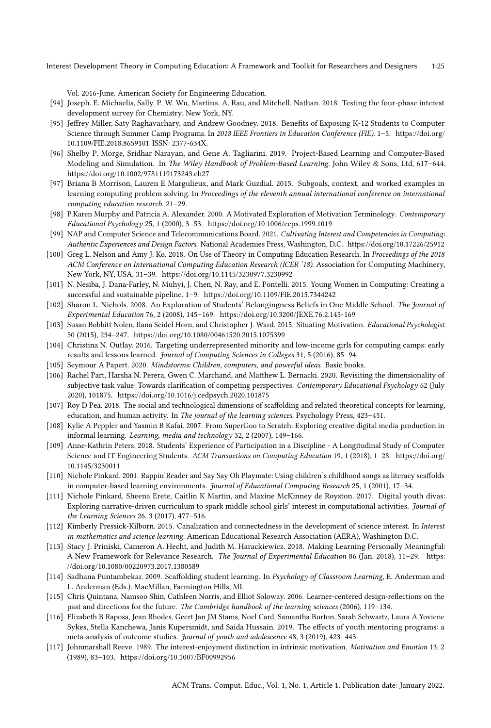Vol. 2016-June. American Society for Engineering Education.

- <span id="page-24-22"></span>[94] Joseph. E. Michaelis, Sally. P. W. Wu, Martina. A. Rau, and Mitchell. Nathan. 2018. Testing the four-phase interest development survey for Chemistry. New York, NY.
- <span id="page-24-6"></span>[95] Jeffrey Miller, Saty Raghavachary, and Andrew Goodney. 2018. Benefits of Exposing K-12 Students to Computer Science through Summer Camp Programs. In 2018 IEEE Frontiers in Education Conference (FIE). 1–5. [https://doi.org/](https://doi.org/10.1109/FIE.2018.8659101) [10.1109/FIE.2018.8659101](https://doi.org/10.1109/FIE.2018.8659101) ISSN: 2377-634X.
- <span id="page-24-13"></span>[96] Shelby P. Morge, Sridhar Narayan, and Gene A. Tagliarini. 2019. Project-Based Learning and Computer-Based Modeling and Simulation. In The Wiley Handbook of Problem-Based Learning. John Wiley & Sons, Ltd, 617-644. <https://doi.org/10.1002/9781119173243.ch27>
- <span id="page-24-10"></span>[97] Briana B Morrison, Lauren E Margulieux, and Mark Guzdial. 2015. Subgoals, context, and worked examples in learning computing problem solving. In Proceedings of the eleventh annual international conference on international computing education research. 21–29.
- <span id="page-24-1"></span>[98] P.Karen Murphy and Patricia A. Alexander. 2000. A Motivated Exploration of Motivation Terminology. Contemporary Educational Psychology 25, 1 (2000), 3–53.<https://doi.org/10.1006/ceps.1999.1019>
- <span id="page-24-0"></span>[99] NAP and Computer Science and Telecommunications Board. 2021. Cultivating Interest and Competencies in Computing: Authentic Experiences and Design Factors. National Academies Press, Washington, D.C.<https://doi.org/10.17226/25912>
- <span id="page-24-23"></span>[100] Greg L. Nelson and Amy J. Ko. 2018. On Use of Theory in Computing Education Research. In Proceedings of the 2018 ACM Conference on International Computing Education Research (ICER '18). Association for Computing Machinery, New York, NY, USA, 31–39.<https://doi.org/10.1145/3230977.3230992>
- <span id="page-24-20"></span>[101] N. Nesiba, J. Dana-Farley, N. Muhyi, J. Chen, N. Ray, and E. Pontelli. 2015. Young Women in Computing: Creating a successful and sustainable pipeline. 1–9.<https://doi.org/10.1109/FIE.2015.7344242>
- <span id="page-24-18"></span>[102] Sharon L. Nichols. 2008. An Exploration of Students' Belongingness Beliefs in One Middle School. The Journal of Experimental Education 76, 2 (2008), 145–169.<https://doi.org/10.3200/JEXE.76.2.145-169>
- <span id="page-24-4"></span>[103] Susan Bobbitt Nolen, Ilana Seidel Horn, and Christopher J. Ward. 2015. Situating Motivation. Educational Psychologist 50 (2015), 234–247.<https://doi.org/10.1080/00461520.2015.1075399>
- <span id="page-24-21"></span>[104] Christina N. Outlay. 2016. Targeting underrepresented minority and low-income girls for computing camps: early results and lessons learned. Journal of Computing Sciences in Colleges 31, 5 (2016), 85–94.
- <span id="page-24-14"></span>[105] Seymour A Papert. 2020. Mindstorms: Children, computers, and powerful ideas. Basic books.
- <span id="page-24-5"></span>[106] Rachel Part, Harsha N. Perera, Gwen C. Marchand, and Matthew L. Bernacki. 2020. Revisiting the dimensionality of subjective task value: Towards clarification of competing perspectives. Contemporary Educational Psychology 62 (July 2020), 101875.<https://doi.org/10.1016/j.cedpsych.2020.101875>
- <span id="page-24-8"></span>[107] Roy D Pea. 2018. The social and technological dimensions of scaffolding and related theoretical concepts for learning, education, and human activity. In The journal of the learning sciences. Psychology Press, 423–451.
- <span id="page-24-16"></span>[108] Kylie A Peppler and Yasmin B Kafai. 2007. From SuperGoo to Scratch: Exploring creative digital media production in informal learning. Learning, media and technology 32, 2 (2007), 149–166.
- <span id="page-24-15"></span>[109] Anne-Kathrin Peters. 2018. Students' Experience of Participation in a Discipline - A Longitudinal Study of Computer Science and IT Engineering Students. ACM Transactions on Computing Education 19, 1 (2018), 1-28. [https://doi.org/](https://doi.org/10.1145/3230011) [10.1145/3230011](https://doi.org/10.1145/3230011)
- <span id="page-24-12"></span>[110] Nichole Pinkard. 2001. Rappin'Reader and Say Say Oh Playmate: Using children's childhood songs as literacy scaffolds in computer-based learning environments. Journal of Educational Computing Research 25, 1 (2001), 17-34.
- <span id="page-24-17"></span>[111] Nichole Pinkard, Sheena Erete, Caitlin K Martin, and Maxine McKinney de Royston. 2017. Digital youth divas: Exploring narrative-driven curriculum to spark middle school girls' interest in computational activities. Journal of the Learning Sciences 26, 3 (2017), 477–516.
- <span id="page-24-3"></span>[112] Kimberly Pressick-Kilborn. 2015. Canalization and connectedness in the development of science interest. In Interest in mathematics and science learning. American Educational Research Association (AERA), Washington D.C.
- <span id="page-24-11"></span>[113] Stacy J. Priniski, Cameron A. Hecht, and Judith M. Harackiewicz. 2018. Making Learning Personally Meaningful: A New Framework for Relevance Research. The Journal of Experimental Education 86 (Jan. 2018), 11–29. [https:](https://doi.org/10.1080/00220973.2017.1380589) [//doi.org/10.1080/00220973.2017.1380589](https://doi.org/10.1080/00220973.2017.1380589)
- <span id="page-24-7"></span>[114] Sadhana Puntambekar. 2009. Scaffolding student learning. In Psychology of Classroom Learning, E. Anderman and L. Anderman (Eds.). MacMillan, Farmington Hills, MI.
- <span id="page-24-9"></span>[115] Chris Quintana, Namsoo Shin, Cathleen Norris, and Elliot Soloway. 2006. Learner-centered design-reflections on the past and directions for the future. The Cambridge handbook of the learning sciences (2006), 119–134.
- <span id="page-24-19"></span>[116] Elizabeth B Raposa, Jean Rhodes, Geert Jan JM Stams, Noel Card, Samantha Burton, Sarah Schwartz, Laura A Yoviene Sykes, Stella Kanchewa, Janis Kupersmidt, and Saida Hussain. 2019. The effects of youth mentoring programs: a meta-analysis of outcome studies. Journal of youth and adolescence 48, 3 (2019), 423–443.
- <span id="page-24-2"></span>[117] Johnmarshall Reeve. 1989. The interest-enjoyment distinction in intrinsic motivation. Motivation and Emotion 13, 2 (1989), 83–103.<https://doi.org/10.1007/BF00992956>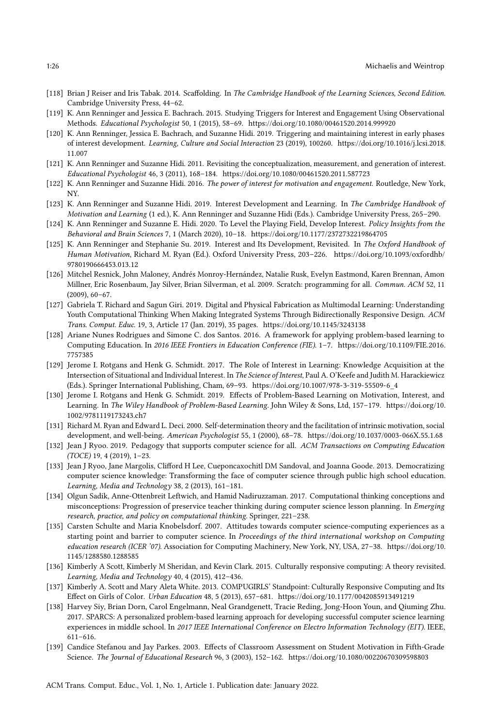- <span id="page-25-9"></span>[118] Brian J Reiser and Iris Tabak. 2014. Scaffolding. In The Cambridge Handbook of the Learning Sciences, Second Edition. Cambridge University Press, 44–62.
- <span id="page-25-21"></span>[119] K. Ann Renninger and Jessica E. Bachrach. 2015. Studying Triggers for Interest and Engagement Using Observational Methods. Educational Psychologist 50, 1 (2015), 58–69.<https://doi.org/10.1080/00461520.2014.999920>
- <span id="page-25-2"></span>[120] K. Ann Renninger, Jessica E. Bachrach, and Suzanne Hidi. 2019. Triggering and maintaining interest in early phases of interest development. Learning, Culture and Social Interaction 23 (2019), 100260. [https://doi.org/10.1016/j.lcsi.2018.](https://doi.org/10.1016/j.lcsi.2018.11.007) [11.007](https://doi.org/10.1016/j.lcsi.2018.11.007)
- <span id="page-25-20"></span>[121] K. Ann Renninger and Suzanne Hidi. 2011. Revisiting the conceptualization, measurement, and generation of interest. Educational Psychologist 46, 3 (2011), 168–184.<https://doi.org/10.1080/00461520.2011.587723>
- <span id="page-25-4"></span>[122] K. Ann Renninger and Suzanne Hidi. 2016. The power of interest for motivation and engagement. Routledge, New York, NY.
- <span id="page-25-1"></span>[123] K. Ann Renninger and Suzanne Hidi. 2019. Interest Development and Learning. In The Cambridge Handbook of Motivation and Learning (1 ed.), K. Ann Renninger and Suzanne Hidi (Eds.). Cambridge University Press, 265–290.
- <span id="page-25-0"></span>[124] K. Ann Renninger and Suzanne E. Hidi. 2020. To Level the Playing Field, Develop Interest. Policy Insights from the Behavioral and Brain Sciences 7, 1 (March 2020), 10–18.<https://doi.org/10.1177/2372732219864705>
- <span id="page-25-8"></span>[125] K. Ann Renninger and Stephanie Su. 2019. Interest and Its Development, Revisited. In The Oxford Handbook of Human Motivation, Richard M. Ryan (Ed.). Oxford University Press, 203–226. [https://doi.org/10.1093/oxfordhb/](https://doi.org/10.1093/oxfordhb/9780190666453.013.12) [9780190666453.013.12](https://doi.org/10.1093/oxfordhb/9780190666453.013.12)
- <span id="page-25-14"></span>[126] Mitchel Resnick, John Maloney, Andrés Monroy-Hernández, Natalie Rusk, Evelyn Eastmond, Karen Brennan, Amon Millner, Eric Rosenbaum, Jay Silver, Brian Silverman, et al. 2009. Scratch: programming for all. Commun. ACM 52, 11 (2009), 60–67.
- <span id="page-25-17"></span>[127] Gabriela T. Richard and Sagun Giri. 2019. Digital and Physical Fabrication as Multimodal Learning: Understanding Youth Computational Thinking When Making Integrated Systems Through Bidirectionally Responsive Design. ACM Trans. Comput. Educ. 19, 3, Article 17 (Jan. 2019), 35 pages.<https://doi.org/10.1145/3243138>
- <span id="page-25-13"></span>[128] Ariane Nunes Rodrigues and Simone C. dos Santos. 2016. A framework for applying problem-based learning to Computing Education. In 2016 IEEE Frontiers in Education Conference (FIE). 1–7. [https://doi.org/10.1109/FIE.2016.](https://doi.org/10.1109/FIE.2016.7757385) [7757385](https://doi.org/10.1109/FIE.2016.7757385)
- <span id="page-25-6"></span>[129] Jerome I. Rotgans and Henk G. Schmidt. 2017. The Role of Interest in Learning: Knowledge Acquisition at the Intersection of Situational and Individual Interest. In The Science of Interest, Paul A. O'Keefe and Judith M. Harackiewicz (Eds.). Springer International Publishing, Cham, 69–93. [https://doi.org/10.1007/978-3-319-55509-6\\_4](https://doi.org/10.1007/978-3-319-55509-6_4)
- <span id="page-25-3"></span>[130] Jerome I. Rotgans and Henk G. Schmidt. 2019. Effects of Problem-Based Learning on Motivation, Interest, and Learning. In The Wiley Handbook of Problem-Based Learning. John Wiley & Sons, Ltd, 157–179. [https://doi.org/10.](https://doi.org/10.1002/9781119173243.ch7) [1002/9781119173243.ch7](https://doi.org/10.1002/9781119173243.ch7)
- <span id="page-25-7"></span>[131] Richard M. Ryan and Edward L. Deci. 2000. Self-determination theory and the facilitation of intrinsic motivation, social development, and well-being. American Psychologist 55, 1 (2000), 68–78.<https://doi.org/10.1037/0003-066X.55.1.68>
- <span id="page-25-16"></span>[132] Jean J Ryoo. 2019. Pedagogy that supports computer science for all. ACM Transactions on Computing Education (TOCE) 19, 4 (2019), 1–23.
- <span id="page-25-15"></span>[133] Jean J Ryoo, Jane Margolis, Clifford H Lee, Cueponcaxochitl DM Sandoval, and Joanna Goode. 2013. Democratizing computer science knowledge: Transforming the face of computer science through public high school education. Learning, Media and Technology 38, 2 (2013), 161–181.
- <span id="page-25-12"></span>[134] Olgun Sadik, Anne-Ottenbreit Leftwich, and Hamid Nadiruzzaman. 2017. Computational thinking conceptions and misconceptions: Progression of preservice teacher thinking during computer science lesson planning. In *Emerging* research, practice, and policy on computational thinking. Springer, 221–238.
- <span id="page-25-18"></span>[135] Carsten Schulte and Maria Knobelsdorf. 2007. Attitudes towards computer science-computing experiences as a starting point and barrier to computer science. In Proceedings of the third international workshop on Computing education research (ICER '07). Association for Computing Machinery, New York, NY, USA, 27–38. [https://doi.org/10.](https://doi.org/10.1145/1288580.1288585) [1145/1288580.1288585](https://doi.org/10.1145/1288580.1288585)
- <span id="page-25-5"></span>[136] Kimberly A Scott, Kimberly M Sheridan, and Kevin Clark. 2015. Culturally responsive computing: A theory revisited. Learning, Media and Technology 40, 4 (2015), 412–436.
- <span id="page-25-10"></span>[137] Kimberly A. Scott and Mary Aleta White. 2013. COMPUGIRLS' Standpoint: Culturally Responsive Computing and Its Effect on Girls of Color. Urban Education 48, 5 (2013), 657–681.<https://doi.org/10.1177/0042085913491219>
- <span id="page-25-11"></span>[138] Harvey Siy, Brian Dorn, Carol Engelmann, Neal Grandgenett, Tracie Reding, Jong-Hoon Youn, and Qiuming Zhu. 2017. SPARCS: A personalized problem-based learning approach for developing successful computer science learning experiences in middle school. In 2017 IEEE International Conference on Electro Information Technology (EIT). IEEE, 611–616.
- <span id="page-25-19"></span>[139] Candice Stefanou and Jay Parkes. 2003. Effects of Classroom Assessment on Student Motivation in Fifth-Grade Science. The Journal of Educational Research 96, 3 (2003), 152–162.<https://doi.org/10.1080/00220670309598803>

ACM Trans. Comput. Educ., Vol. 1, No. 1, Article 1. Publication date: January 2022.